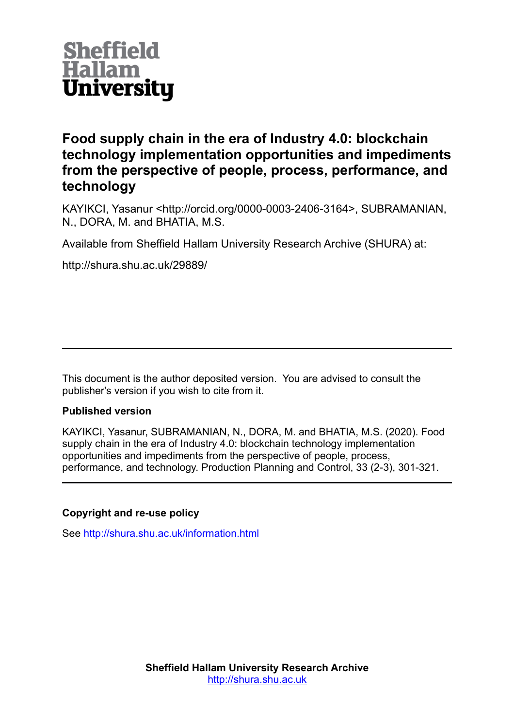

**Food supply chain in the era of Industry 4.0: blockchain technology implementation opportunities and impediments from the perspective of people, process, performance, and technology**

KAYIKCI, Yasanur <http://orcid.org/0000-0003-2406-3164>, SUBRAMANIAN, N., DORA, M. and BHATIA, M.S.

Available from Sheffield Hallam University Research Archive (SHURA) at:

http://shura.shu.ac.uk/29889/

This document is the author deposited version. You are advised to consult the publisher's version if you wish to cite from it.

# **Published version**

KAYIKCI, Yasanur, SUBRAMANIAN, N., DORA, M. and BHATIA, M.S. (2020). Food supply chain in the era of Industry 4.0: blockchain technology implementation opportunities and impediments from the perspective of people, process, performance, and technology. Production Planning and Control, 33 (2-3), 301-321.

# **Copyright and re-use policy**

See<http://shura.shu.ac.uk/information.html>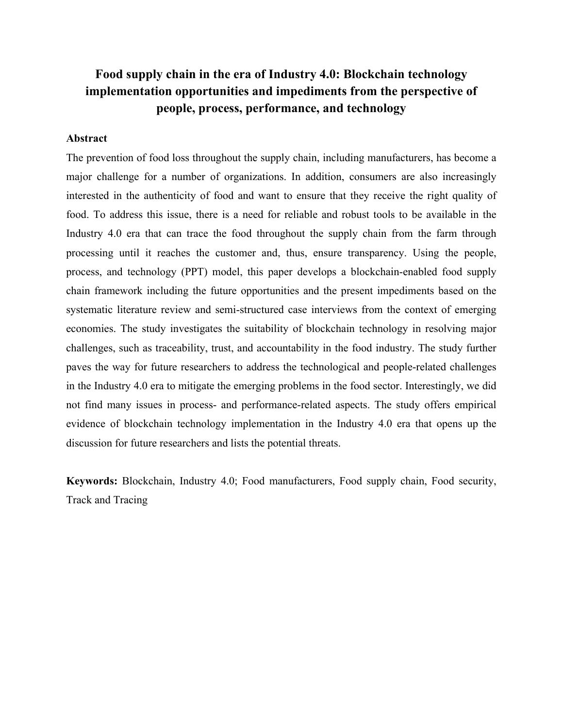# **Food supply chain in the era of Industry 4.0: Blockchain technology implementation opportunities and impediments from the perspective of people, process, performance, and technology**

### **Abstract**

The prevention of food loss throughout the supply chain, including manufacturers, has become a major challenge for a number of organizations. In addition, consumers are also increasingly interested in the authenticity of food and want to ensure that they receive the right quality of food. To address this issue, there is a need for reliable and robust tools to be available in the Industry 4.0 era that can trace the food throughout the supply chain from the farm through processing until it reaches the customer and, thus, ensure transparency. Using the people, process, and technology (PPT) model, this paper develops a blockchain-enabled food supply chain framework including the future opportunities and the present impediments based on the systematic literature review and semi-structured case interviews from the context of emerging economies. The study investigates the suitability of blockchain technology in resolving major challenges, such as traceability, trust, and accountability in the food industry. The study further paves the way for future researchers to address the technological and people-related challenges in the Industry 4.0 era to mitigate the emerging problems in the food sector. Interestingly, we did not find many issues in process- and performance-related aspects. The study offers empirical evidence of blockchain technology implementation in the Industry 4.0 era that opens up the discussion for future researchers and lists the potential threats.

**Keywords:** Blockchain, Industry 4.0; Food manufacturers, Food supply chain, Food security, Track and Tracing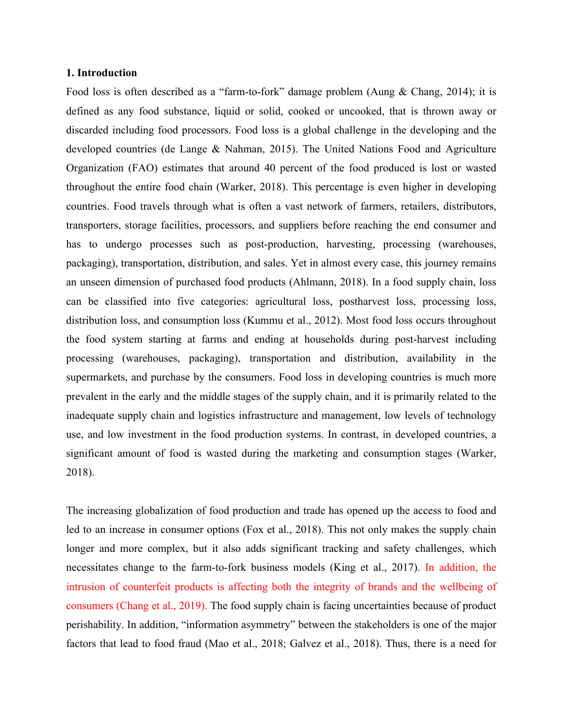### **1. Introduction**

Food loss is often described as a "farm-to-fork" damage problem (Aung & Chang, 2014); it is defined as any food substance, liquid or solid, cooked or uncooked, that is thrown away or discarded including food processors. Food loss is a global challenge in the developing and the developed countries (de Lange & Nahman, 2015). The United Nations Food and Agriculture Organization (FAO) estimates that around 40 percent of the food produced is lost or wasted throughout the entire food chain (Warker, 2018). This percentage is even higher in developing countries. Food travels through what is often a vast network of farmers, retailers, distributors, transporters, storage facilities, processors, and suppliers before reaching the end consumer and has to undergo processes such as post-production, harvesting, processing (warehouses, packaging), transportation, distribution, and sales. Yet in almost every case, this journey remains an unseen dimension of purchased food products (Ahlmann, 2018). In a food supply chain, loss can be classified into five categories: agricultural loss, postharvest loss, processing loss, distribution loss, and consumption loss (Kummu et al., 2012). Most food loss occurs throughout the food system starting at farms and ending at households during post-harvest including processing (warehouses, packaging), transportation and distribution, availability in the supermarkets, and purchase by the consumers. Food loss in developing countries is much more prevalent in the early and the middle stages of the supply chain, and it is primarily related to the inadequate supply chain and logistics infrastructure and management, low levels of technology use, and low investment in the food production systems. In contrast, in developed countries, a significant amount of food is wasted during the marketing and consumption stages (Warker, 2018).

The increasing globalization of food production and trade has opened up the access to food and led to an increase in consumer options (Fox et al., 2018). This not only makes the supply chain longer and more complex, but it also adds significant tracking and safety challenges, which necessitates change to the farm-to-fork business models (King et al., 2017). In addition, the intrusion of counterfeit products is affecting both the integrity of brands and the wellbeing of consumers (Chang et al., 2019). The food supply chain is facing uncertainties because of product perishability. In addition, "information asymmetry" between the stakeholders is one of the major factors that lead to food fraud (Mao et al., 2018; Galvez et al., 2018). Thus, there is a need for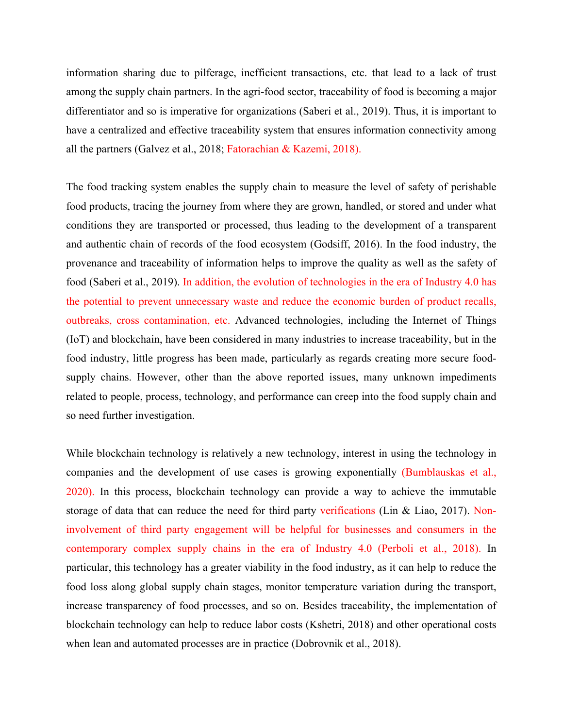information sharing due to pilferage, inefficient transactions, etc. that lead to a lack of trust among the supply chain partners. In the agri-food sector, traceability of food is becoming a major differentiator and so is imperative for organizations (Saberi et al., 2019). Thus, it is important to have a centralized and effective traceability system that ensures information connectivity among all the partners (Galvez et al., 2018; Fatorachian & Kazemi, 2018).

The food tracking system enables the supply chain to measure the level of safety of perishable food products, tracing the journey from where they are grown, handled, or stored and under what conditions they are transported or processed, thus leading to the development of a transparent and authentic chain of records of the food ecosystem (Godsiff, 2016). In the food industry, the provenance and traceability of information helps to improve the quality as well as the safety of food (Saberi et al., 2019). In addition, the evolution of technologies in the era of Industry 4.0 has the potential to prevent unnecessary waste and reduce the economic burden of product recalls, outbreaks, cross contamination, etc. Advanced technologies, including the Internet of Things (IoT) and blockchain, have been considered in many industries to increase traceability, but in the food industry, little progress has been made, particularly as regards creating more secure foodsupply chains. However, other than the above reported issues, many unknown impediments related to people, process, technology, and performance can creep into the food supply chain and so need further investigation.

While blockchain technology is relatively a new technology, interest in using the technology in companies and the development of use cases is growing exponentially (Bumblauskas et al., 2020). In this process, blockchain technology can provide a way to achieve the immutable storage of data that can reduce the need for third party verifications (Lin & Liao, 2017). Noninvolvement of third party engagement will be helpful for businesses and consumers in the contemporary complex supply chains in the era of Industry 4.0 (Perboli et al., 2018). In particular, this technology has a greater viability in the food industry, as it can help to reduce the food loss along global supply chain stages, monitor temperature variation during the transport, increase transparency of food processes, and so on. Besides traceability, the implementation of blockchain technology can help to reduce labor costs (Kshetri, 2018) and other operational costs when lean and automated processes are in practice (Dobrovnik et al., 2018).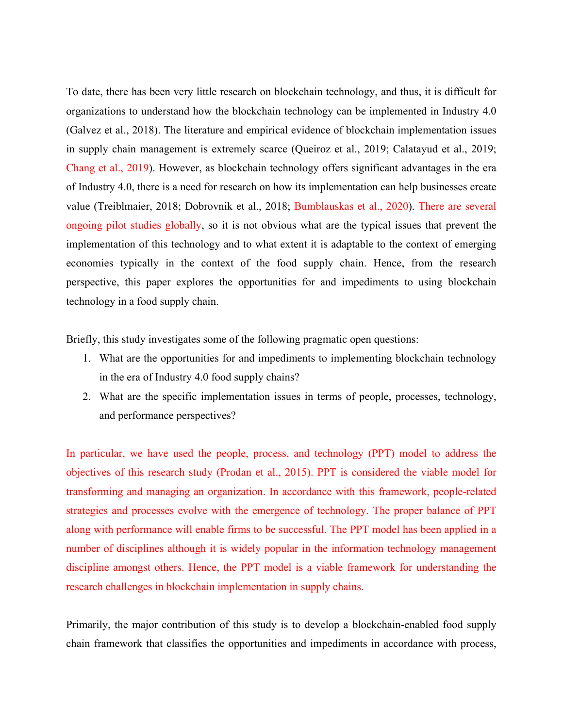To date, there has been very little research on blockchain technology, and thus, it is difficult for organizations to understand how the blockchain technology can be implemented in Industry 4.0 (Galvez et al., 2018). The literature and empirical evidence of blockchain implementation issues in supply chain management is extremely scarce (Queiroz et al., 2019; Calatayud et al., 2019; Chang et al., 2019). However, as blockchain technology offers significant advantages in the era of Industry 4.0, there is a need for research on how its implementation can help businesses create value (Treiblmaier, 2018; Dobrovnik et al., 2018; Bumblauskas et al., 2020). There are several ongoing pilot studies globally, so it is not obvious what are the typical issues that prevent the implementation of this technology and to what extent it is adaptable to the context of emerging economies typically in the context of the food supply chain. Hence, from the research perspective, this paper explores the opportunities for and impediments to using blockchain technology in a food supply chain.

Briefly, this study investigates some of the following pragmatic open questions:

- 1. What are the opportunities for and impediments to implementing blockchain technology in the era of Industry 4.0 food supply chains?
- 2. What are the specific implementation issues in terms of people, processes, technology, and performance perspectives?

In particular, we have used the people, process, and technology (PPT) model to address the objectives of this research study (Prodan et al., 2015). PPT is considered the viable model for transforming and managing an organization. In accordance with this framework, people-related strategies and processes evolve with the emergence of technology. The proper balance of PPT along with performance will enable firms to be successful. The PPT model has been applied in a number of disciplines although it is widely popular in the information technology management discipline amongst others. Hence, the PPT model is a viable framework for understanding the research challenges in blockchain implementation in supply chains.

Primarily, the major contribution of this study is to develop a blockchain-enabled food supply chain framework that classifies the opportunities and impediments in accordance with process,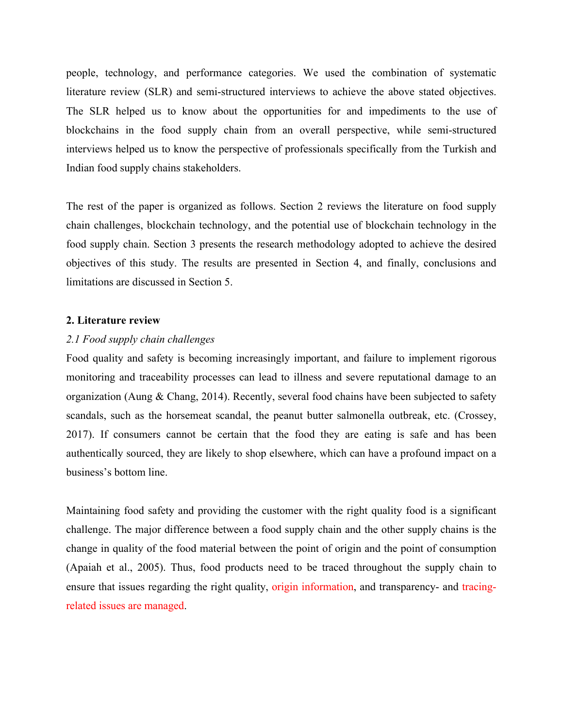people, technology, and performance categories. We used the combination of systematic literature review (SLR) and semi-structured interviews to achieve the above stated objectives. The SLR helped us to know about the opportunities for and impediments to the use of blockchains in the food supply chain from an overall perspective, while semi-structured interviews helped us to know the perspective of professionals specifically from the Turkish and Indian food supply chains stakeholders.

The rest of the paper is organized as follows. Section 2 reviews the literature on food supply chain challenges, blockchain technology, and the potential use of blockchain technology in the food supply chain. Section 3 presents the research methodology adopted to achieve the desired objectives of this study. The results are presented in Section 4, and finally, conclusions and limitations are discussed in Section 5.

### **2. Literature review**

### *2.1 Food supply chain challenges*

Food quality and safety is becoming increasingly important, and failure to implement rigorous monitoring and traceability processes can lead to illness and severe reputational damage to an organization (Aung & Chang, 2014). Recently, several food chains have been subjected to safety scandals, such as the horsemeat scandal, the peanut butter salmonella outbreak, etc. (Crossey, 2017). If consumers cannot be certain that the food they are eating is safe and has been authentically sourced, they are likely to shop elsewhere, which can have a profound impact on a business's bottom line.

Maintaining food safety and providing the customer with the right quality food is a significant challenge. The major difference between a food supply chain and the other supply chains is the change in quality of the food material between the point of origin and the point of consumption (Apaiah et al., 2005). Thus, food products need to be traced throughout the supply chain to ensure that issues regarding the right quality, origin information, and transparency- and tracingrelated issues are managed.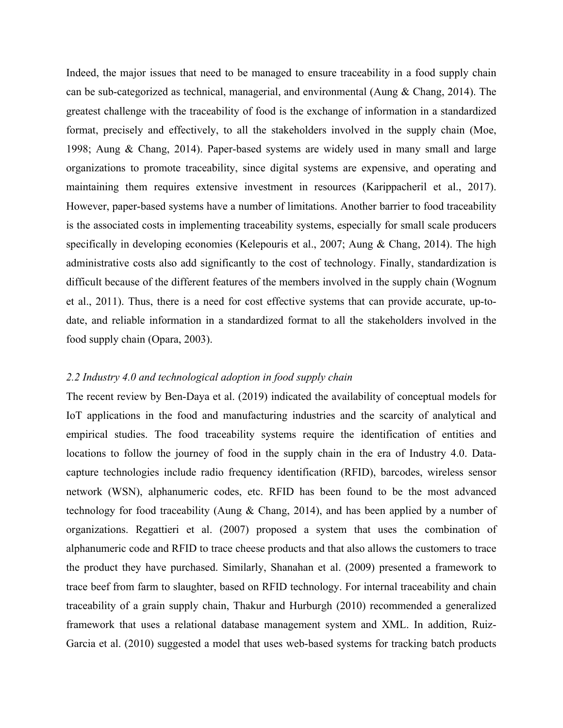Indeed, the major issues that need to be managed to ensure traceability in a food supply chain can be sub-categorized as technical, managerial, and environmental (Aung & Chang, 2014). The greatest challenge with the traceability of food is the exchange of information in a standardized format, precisely and effectively, to all the stakeholders involved in the supply chain (Moe, 1998; Aung & Chang, 2014). Paper-based systems are widely used in many small and large organizations to promote traceability, since digital systems are expensive, and operating and maintaining them requires extensive investment in resources (Karippacheril et al., 2017). However, paper-based systems have a number of limitations. Another barrier to food traceability is the associated costs in implementing traceability systems, especially for small scale producers specifically in developing economies (Kelepouris et al., 2007; Aung & Chang, 2014). The high administrative costs also add significantly to the cost of technology. Finally, standardization is difficult because of the different features of the members involved in the supply chain (Wognum et al., 2011). Thus, there is a need for cost effective systems that can provide accurate, up-todate, and reliable information in a standardized format to all the stakeholders involved in the food supply chain (Opara, 2003).

### *2.2 Industry 4.0 and technological adoption in food supply chain*

The recent review by Ben-Daya et al. (2019) indicated the availability of conceptual models for IoT applications in the food and manufacturing industries and the scarcity of analytical and empirical studies. The food traceability systems require the identification of entities and locations to follow the journey of food in the supply chain in the era of Industry 4.0. Datacapture technologies include radio frequency identification (RFID), barcodes, wireless sensor network (WSN), alphanumeric codes, etc. RFID has been found to be the most advanced technology for food traceability (Aung & Chang, 2014), and has been applied by a number of organizations. Regattieri et al. (2007) proposed a system that uses the combination of alphanumeric code and RFID to trace cheese products and that also allows the customers to trace the product they have purchased. Similarly, Shanahan et al. (2009) presented a framework to trace beef from farm to slaughter, based on RFID technology. For internal traceability and chain traceability of a grain supply chain, Thakur and Hurburgh (2010) recommended a generalized framework that uses a relational database management system and XML. In addition, Ruiz-Garcia et al. (2010) suggested a model that uses web-based systems for tracking batch products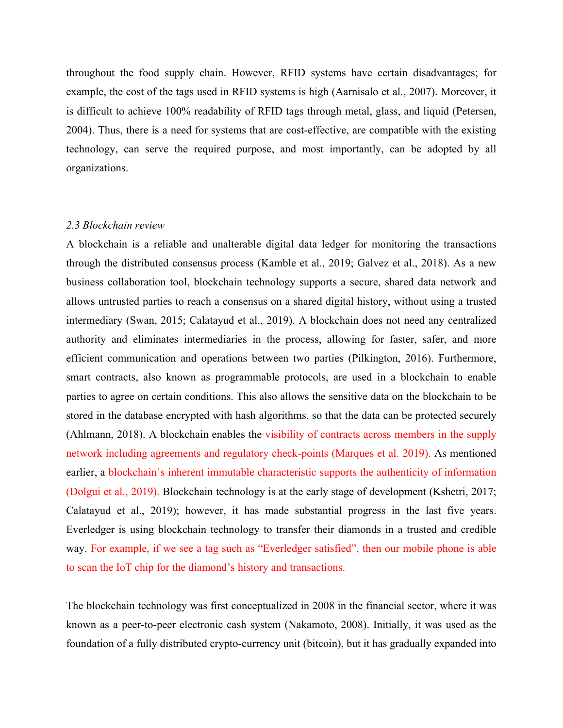throughout the food supply chain. However, RFID systems have certain disadvantages; for example, the cost of the tags used in RFID systems is high (Aarnisalo et al., 2007). Moreover, it is difficult to achieve 100% readability of RFID tags through metal, glass, and liquid (Petersen, 2004). Thus, there is a need for systems that are cost-effective, are compatible with the existing technology, can serve the required purpose, and most importantly, can be adopted by all organizations.

#### *2.3 Blockchain review*

A blockchain is a reliable and unalterable digital data ledger for monitoring the transactions through the distributed consensus process (Kamble et al., 2019; Galvez et al., 2018). As a new business collaboration tool, blockchain technology supports a secure, shared data network and allows untrusted parties to reach a consensus on a shared digital history, without using a trusted intermediary (Swan, 2015; Calatayud et al., 2019). A blockchain does not need any centralized authority and eliminates intermediaries in the process, allowing for faster, safer, and more efficient communication and operations between two parties (Pilkington, 2016). Furthermore, smart contracts, also known as programmable protocols, are used in a blockchain to enable parties to agree on certain conditions. This also allows the sensitive data on the blockchain to be stored in the database encrypted with hash algorithms, so that the data can be protected securely (Ahlmann, 2018). A blockchain enables the visibility of contracts across members in the supply network including agreements and regulatory check-points (Marques et al. 2019). As mentioned earlier, a blockchain's inherent immutable characteristic supports the authenticity of information (Dolgui et al., 2019). Blockchain technology is at the early stage of development (Kshetri, 2017; Calatayud et al., 2019); however, it has made substantial progress in the last five years. Everledger is using blockchain technology to transfer their diamonds in a trusted and credible way. For example, if we see a tag such as "Everledger satisfied", then our mobile phone is able to scan the IoT chip for the diamond's history and transactions.

The blockchain technology was first conceptualized in 2008 in the financial sector, where it was known as a peer-to-peer electronic cash system (Nakamoto, 2008). Initially, it was used as the foundation of a fully distributed crypto-currency unit (bitcoin), but it has gradually expanded into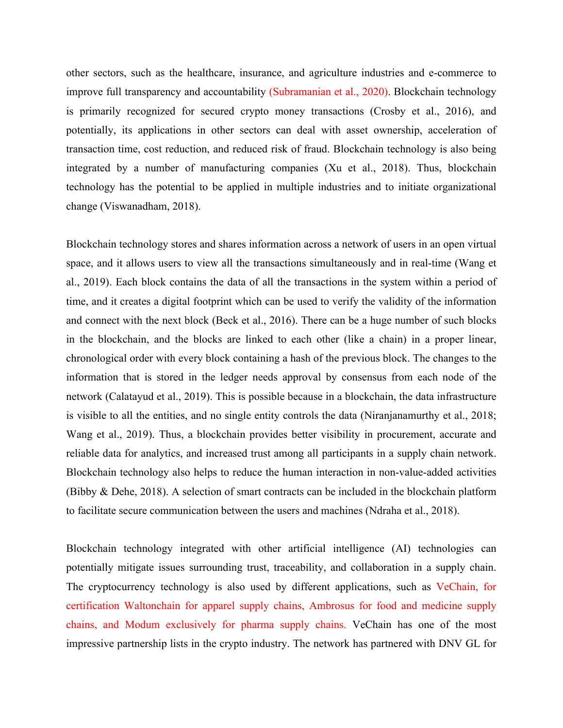other sectors, such as the healthcare, insurance, and agriculture industries and e-commerce to improve full transparency and accountability (Subramanian et al., 2020). Blockchain technology is primarily recognized for secured crypto money transactions (Crosby et al., 2016), and potentially, its applications in other sectors can deal with asset ownership, acceleration of transaction time, cost reduction, and reduced risk of fraud. Blockchain technology is also being integrated by a number of manufacturing companies (Xu et al., 2018). Thus, blockchain technology has the potential to be applied in multiple industries and to initiate organizational change (Viswanadham, 2018).

Blockchain technology stores and shares information across a network of users in an open virtual space, and it allows users to view all the transactions simultaneously and in real-time (Wang et al., 2019). Each block contains the data of all the transactions in the system within a period of time, and it creates a digital footprint which can be used to verify the validity of the information and connect with the next block (Beck et al., 2016). There can be a huge number of such blocks in the blockchain, and the blocks are linked to each other (like a chain) in a proper linear, chronological order with every block containing a hash of the previous block. The changes to the information that is stored in the ledger needs approval by consensus from each node of the network (Calatayud et al., 2019). This is possible because in a blockchain, the data infrastructure is visible to all the entities, and no single entity controls the data (Niranjanamurthy et al., 2018; Wang et al., 2019). Thus, a blockchain provides better visibility in procurement, accurate and reliable data for analytics, and increased trust among all participants in a supply chain network. Blockchain technology also helps to reduce the human interaction in non-value-added activities (Bibby & Dehe, 2018). A selection of smart contracts can be included in the blockchain platform to facilitate secure communication between the users and machines (Ndraha et al., 2018).

Blockchain technology integrated with other artificial intelligence (AI) technologies can potentially mitigate issues surrounding trust, traceability, and collaboration in a supply chain. The cryptocurrency technology is also used by different applications, such as VeChain, for certification Waltonchain for apparel supply chains, Ambrosus for food and medicine supply chains, and Modum exclusively for pharma supply chains. VeChain has one of the most impressive partnership lists in the crypto industry. The network has partnered with DNV GL for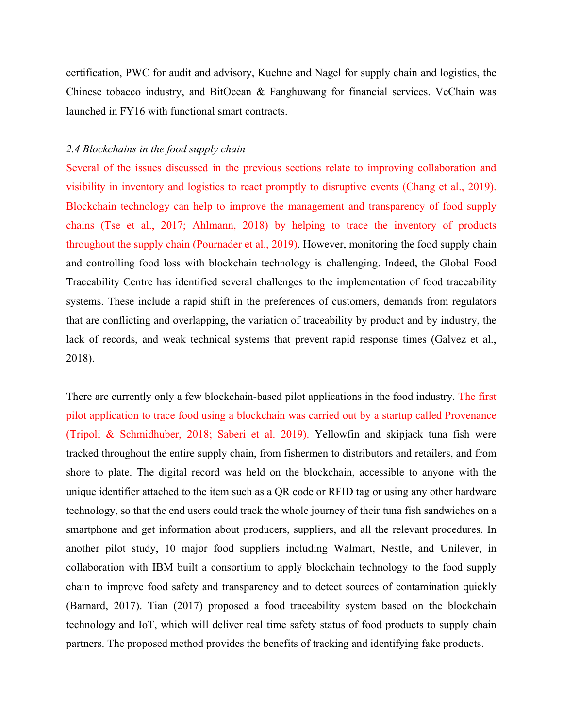certification, PWC for audit and advisory, Kuehne and Nagel for supply chain and logistics, the Chinese tobacco industry, and BitOcean & Fanghuwang for financial services. VeChain was launched in FY16 with functional smart contracts.

#### *2.4 Blockchains in the food supply chain*

Several of the issues discussed in the previous sections relate to improving collaboration and visibility in inventory and logistics to react promptly to disruptive events (Chang et al., 2019). Blockchain technology can help to improve the management and transparency of food supply chains (Tse et al., 2017; Ahlmann, 2018) by helping to trace the inventory of products throughout the supply chain (Pournader et al., 2019). However, monitoring the food supply chain and controlling food loss with blockchain technology is challenging. Indeed, the Global Food Traceability Centre has identified several challenges to the implementation of food traceability systems. These include a rapid shift in the preferences of customers, demands from regulators that are conflicting and overlapping, the variation of traceability by product and by industry, the lack of records, and weak technical systems that prevent rapid response times (Galvez et al., 2018).

There are currently only a few blockchain-based pilot applications in the food industry. The first pilot application to trace food using a blockchain was carried out by a startup called Provenance (Tripoli & Schmidhuber, 2018; Saberi et al. 2019). Yellowfin and skipjack tuna fish were tracked throughout the entire supply chain, from fishermen to distributors and retailers, and from shore to plate. The digital record was held on the blockchain, accessible to anyone with the unique identifier attached to the item such as a QR code or RFID tag or using any other hardware technology, so that the end users could track the whole journey of their tuna fish sandwiches on a smartphone and get information about producers, suppliers, and all the relevant procedures. In another pilot study, 10 major food suppliers including Walmart, Nestle, and Unilever, in collaboration with IBM built a consortium to apply blockchain technology to the food supply chain to improve food safety and transparency and to detect sources of contamination quickly (Barnard, 2017). Tian (2017) proposed a food traceability system based on the blockchain technology and IoT, which will deliver real time safety status of food products to supply chain partners. The proposed method provides the benefits of tracking and identifying fake products.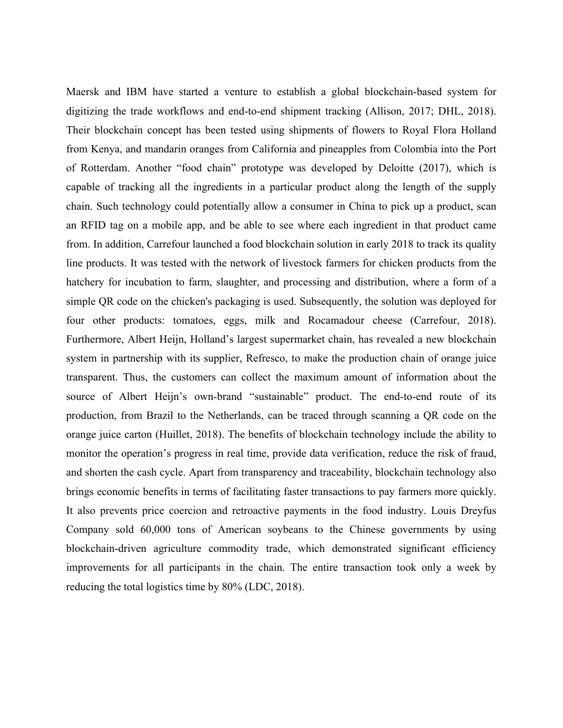Maersk and IBM have started a venture to establish a global blockchain-based system for digitizing the trade workflows and end-to-end shipment tracking (Allison, 2017; DHL, 2018). Their blockchain concept has been tested using shipments of flowers to Royal Flora Holland from Kenya, and mandarin oranges from California and pineapples from Colombia into the Port of Rotterdam. Another "food chain" prototype was developed by Deloitte (2017), which is capable of tracking all the ingredients in a particular product along the length of the supply chain. Such technology could potentially allow a consumer in China to pick up a product, scan an RFID tag on a mobile app, and be able to see where each ingredient in that product came from. In addition, Carrefour launched a food blockchain solution in early 2018 to track its quality line products. It was tested with the network of livestock farmers for chicken products from the hatchery for incubation to farm, slaughter, and processing and distribution, where a form of a simple QR code on the chicken's packaging is used. Subsequently, the solution was deployed for four other products: tomatoes, eggs, milk and Rocamadour cheese (Carrefour, 2018). Furthermore, Albert Heijn, Holland's largest supermarket chain, has revealed a new blockchain system in partnership with its supplier, Refresco, to make the production chain of orange juice transparent. Thus, the customers can collect the maximum amount of information about the source of Albert Heijn's own-brand "sustainable" product. The end-to-end route of its production, from Brazil to the Netherlands, can be traced through scanning a QR code on the orange juice carton (Huillet, 2018). The benefits of blockchain technology include the ability to monitor the operation's progress in real time, provide data verification, reduce the risk of fraud, and shorten the cash cycle. Apart from transparency and traceability, blockchain technology also brings economic benefits in terms of facilitating faster transactions to pay farmers more quickly. It also prevents price coercion and retroactive payments in the food industry. Louis Dreyfus Company sold 60,000 tons of American soybeans to the Chinese governments by using blockchain-driven agriculture commodity trade, which demonstrated significant efficiency improvements for all participants in the chain. The entire transaction took only a week by reducing the total logistics time by 80% (LDC, 2018).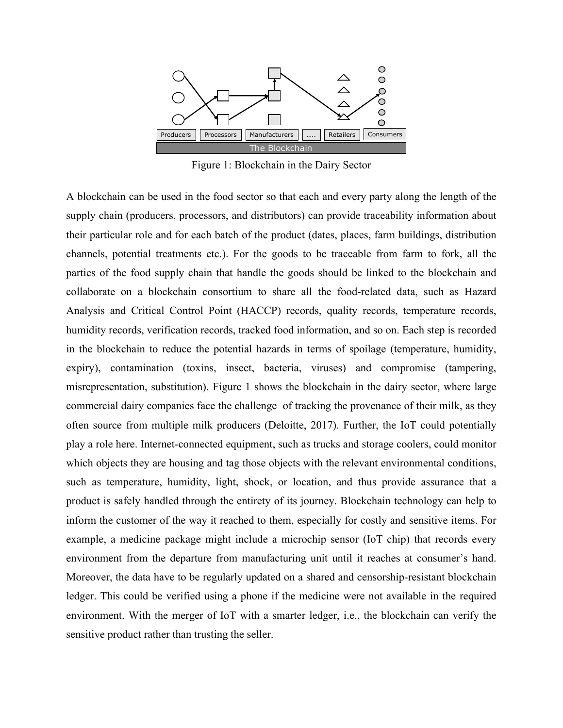

Figure 1: Blockchain in the Dairy Sector

A blockchain can be used in the food sector so that each and every party along the length of the supply chain (producers, processors, and distributors) can provide traceability information about their particular role and for each batch of the product (dates, places, farm buildings, distribution channels, potential treatments etc.). For the goods to be traceable from farm to fork, all the parties of the food supply chain that handle the goods should be linked to the blockchain and collaborate on a blockchain consortium to share all the food-related data, such as Hazard Analysis and Critical Control Point (HACCP) records, quality records, temperature records, humidity records, verification records, tracked food information, and so on. Each step is recorded in the blockchain to reduce the potential hazards in terms of spoilage (temperature, humidity, expiry), contamination (toxins, insect, bacteria, viruses) and compromise (tampering, misrepresentation, substitution). Figure 1 shows the blockchain in the dairy sector, where large commercial dairy companies face the challenge of tracking the provenance of their milk, as they often source from multiple milk producers (Deloitte, 2017). Further, the IoT could potentially play a role here. Internet-connected equipment, such as trucks and storage coolers, could monitor which objects they are housing and tag those objects with the relevant environmental conditions, such as temperature, humidity, light, shock, or location, and thus provide assurance that a product is safely handled through the entirety of its journey. Blockchain technology can help to inform the customer of the way it reached to them, especially for costly and sensitive items. For example, a medicine package might include a microchip sensor (IoT chip) that records every environment from the departure from manufacturing unit until it reaches at consumer's hand. Moreover, the data have to be regularly updated on a shared and censorship-resistant blockchain ledger. This could be verified using a phone if the medicine were not available in the required environment. With the merger of IoT with a smarter ledger, i.e., the blockchain can verify the sensitive product rather than trusting the seller.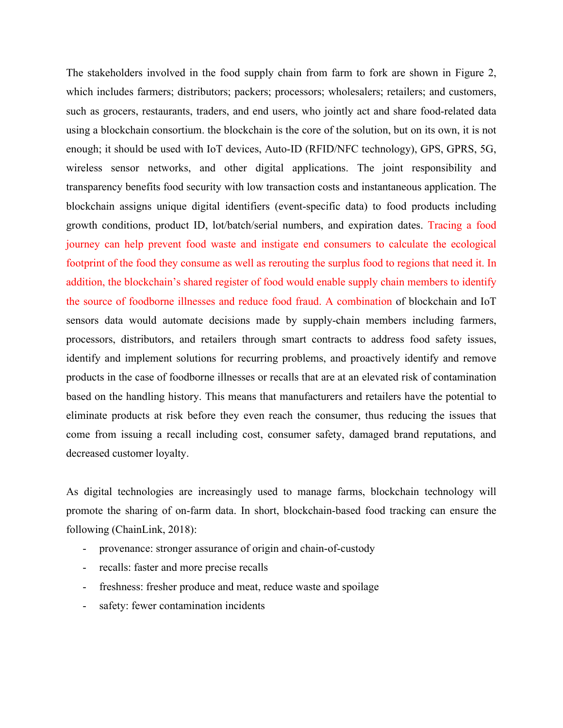The stakeholders involved in the food supply chain from farm to fork are shown in Figure 2, which includes farmers; distributors; packers; processors; wholesalers; retailers; and customers, such as grocers, restaurants, traders, and end users, who jointly act and share food-related data using a blockchain consortium. the blockchain is the core of the solution, but on its own, it is not enough; it should be used with IoT devices, Auto-ID (RFID/NFC technology), GPS, GPRS, 5G, wireless sensor networks, and other digital applications. The joint responsibility and transparency benefits food security with low transaction costs and instantaneous application. The blockchain assigns unique digital identifiers (event-specific data) to food products including growth conditions, product ID, lot/batch/serial numbers, and expiration dates. Tracing a food journey can help prevent food waste and instigate end consumers to calculate the ecological footprint of the food they consume as well as rerouting the surplus food to regions that need it. In addition, the blockchain's shared register of food would enable supply chain members to identify the source of foodborne illnesses and reduce food fraud. A combination of blockchain and IoT sensors data would automate decisions made by supply-chain members including farmers, processors, distributors, and retailers through smart contracts to address food safety issues, identify and implement solutions for recurring problems, and proactively identify and remove products in the case of foodborne illnesses or recalls that are at an elevated risk of contamination based on the handling history. This means that manufacturers and retailers have the potential to eliminate products at risk before they even reach the consumer, thus reducing the issues that come from issuing a recall including cost, consumer safety, damaged brand reputations, and decreased customer loyalty.

As digital technologies are increasingly used to manage farms, blockchain technology will promote the sharing of on-farm data. In short, blockchain-based food tracking can ensure the following (ChainLink, 2018):

- provenance: stronger assurance of origin and chain-of-custody
- recalls: faster and more precise recalls
- freshness: fresher produce and meat, reduce waste and spoilage
- safety: fewer contamination incidents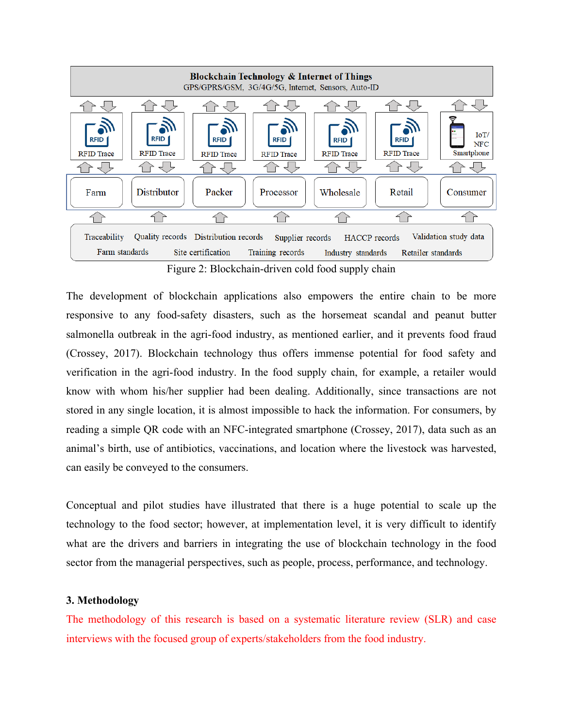

The development of blockchain applications also empowers the entire chain to be more responsive to any food-safety disasters, such as the horsemeat scandal and peanut butter salmonella outbreak in the agri-food industry, as mentioned earlier, and it prevents food fraud (Crossey, 2017). Blockchain technology thus offers immense potential for food safety and verification in the agri-food industry. In the food supply chain, for example, a retailer would know with whom his/her supplier had been dealing. Additionally, since transactions are not stored in any single location, it is almost impossible to hack the information. For consumers, by reading a simple QR code with an NFC-integrated smartphone (Crossey, 2017), data such as an animal's birth, use of antibiotics, vaccinations, and location where the livestock was harvested, can easily be conveyed to the consumers.

Conceptual and pilot studies have illustrated that there is a huge potential to scale up the technology to the food sector; however, at implementation level, it is very difficult to identify what are the drivers and barriers in integrating the use of blockchain technology in the food sector from the managerial perspectives, such as people, process, performance, and technology.

### **3. Methodology**

The methodology of this research is based on a systematic literature review (SLR) and case interviews with the focused group of experts/stakeholders from the food industry.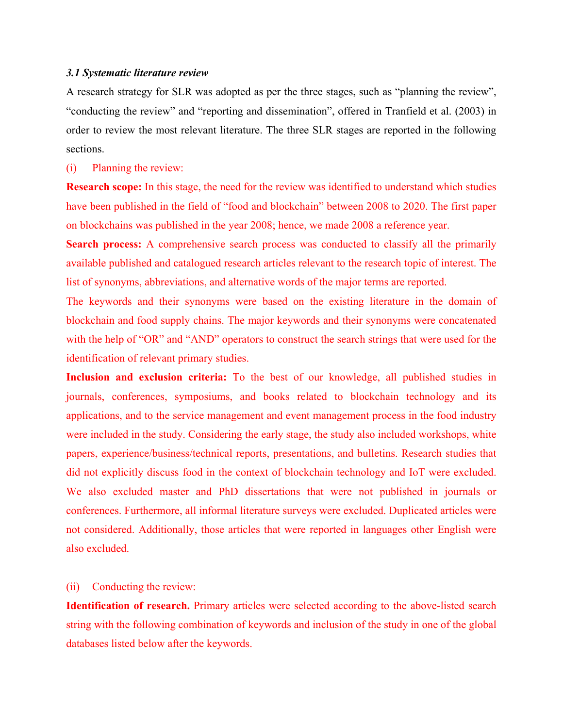#### *3.1 Systematic literature review*

A research strategy for SLR was adopted as per the three stages, such as "planning the review", "conducting the review" and "reporting and dissemination", offered in Tranfield et al. (2003) in order to review the most relevant literature. The three SLR stages are reported in the following sections.

### (i) Planning the review:

**Research scope:** In this stage, the need for the review was identified to understand which studies have been published in the field of "food and blockchain" between 2008 to 2020. The first paper on blockchains was published in the year 2008; hence, we made 2008 a reference year.

**Search process:** A comprehensive search process was conducted to classify all the primarily available published and catalogued research articles relevant to the research topic of interest. The list of synonyms, abbreviations, and alternative words of the major terms are reported.

The keywords and their synonyms were based on the existing literature in the domain of blockchain and food supply chains. The major keywords and their synonyms were concatenated with the help of "OR" and "AND" operators to construct the search strings that were used for the identification of relevant primary studies.

**Inclusion and exclusion criteria:** To the best of our knowledge, all published studies in journals, conferences, symposiums, and books related to blockchain technology and its applications, and to the service management and event management process in the food industry were included in the study. Considering the early stage, the study also included workshops, white papers, experience/business/technical reports, presentations, and bulletins. Research studies that did not explicitly discuss food in the context of blockchain technology and IoT were excluded. We also excluded master and PhD dissertations that were not published in journals or conferences. Furthermore, all informal literature surveys were excluded. Duplicated articles were not considered. Additionally, those articles that were reported in languages other English were also excluded.

### (ii) Conducting the review:

**Identification of research.** Primary articles were selected according to the above-listed search string with the following combination of keywords and inclusion of the study in one of the global databases listed below after the keywords.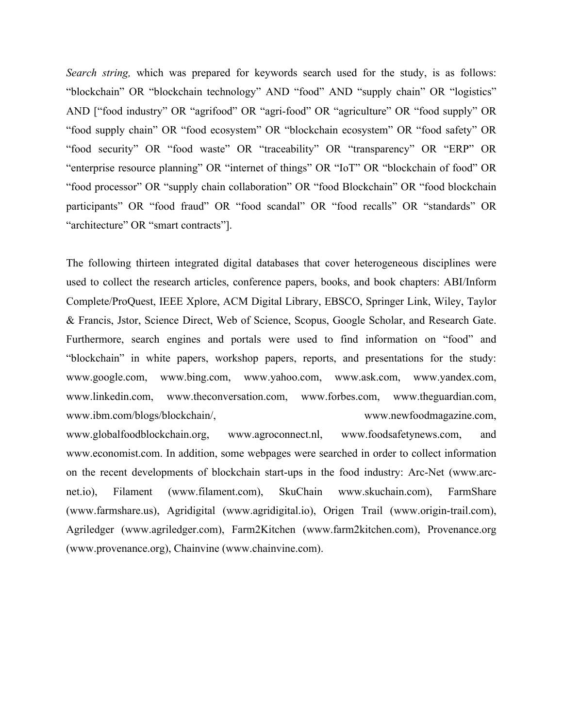*Search string,* which was prepared for keywords search used for the study, is as follows: "blockchain" OR "blockchain technology" AND "food" AND "supply chain" OR "logistics" AND ["food industry" OR "agrifood" OR "agri-food" OR "agriculture" OR "food supply" OR "food supply chain" OR "food ecosystem" OR "blockchain ecosystem" OR "food safety" OR "food security" OR "food waste" OR "traceability" OR "transparency" OR "ERP" OR "enterprise resource planning" OR "internet of things" OR "IoT" OR "blockchain of food" OR "food processor" OR "supply chain collaboration" OR "food Blockchain" OR "food blockchain participants" OR "food fraud" OR "food scandal" OR "food recalls" OR "standards" OR "architecture" OR "smart contracts"].

The following thirteen integrated digital databases that cover heterogeneous disciplines were used to collect the research articles, conference papers, books, and book chapters: ABI/Inform Complete/ProQuest, IEEE Xplore, ACM Digital Library, EBSCO, Springer Link, Wiley, Taylor & Francis, Jstor, Science Direct, Web of Science, Scopus, Google Scholar, and Research Gate. Furthermore, search engines and portals were used to find information on "food" and "blockchain" in white papers, workshop papers, reports, and presentations for the study: www.google.com, www.bing.com, www.yahoo.com, www.ask.com, www.yandex.com, www.linkedin.com, www.theconversation.com, www.forbes.com, www.theguardian.com, www.ibm.com/blogs/blockchain/, www.newfoodmagazine.com,

www.globalfoodblockchain.org, www.agroconnect.nl, www.foodsafetynews.com, and www.economist.com. In addition, some webpages were searched in order to collect information on the recent developments of blockchain start-ups in the food industry: Arc-Net (www.arcnet.io), Filament (www.filament.com), SkuChain www.skuchain.com), FarmShare (www.farmshare.us), Agridigital (www.agridigital.io), Origen Trail (www.origin-trail.com), Agriledger (www.agriledger.com), Farm2Kitchen (www.farm2kitchen.com), Provenance.org (www.provenance.org), Chainvine (www.chainvine.com).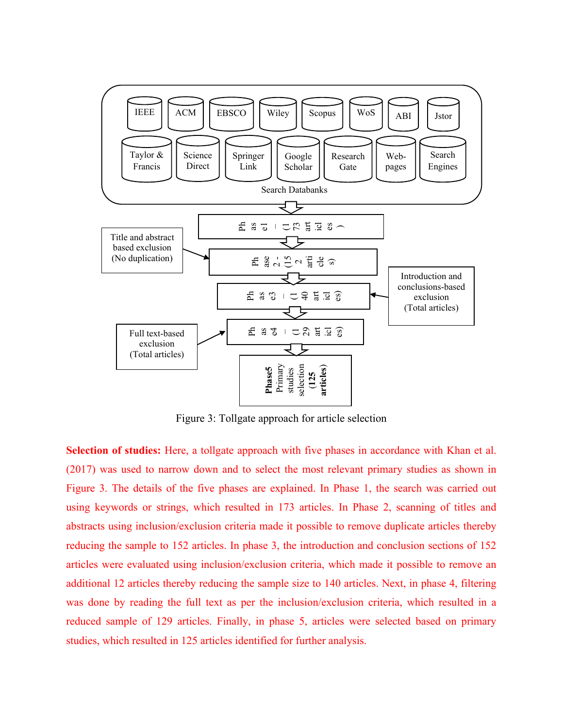

Figure 3: Tollgate approach for article selection

**Selection of studies:** Here, a tollgate approach with five phases in accordance with Khan et al. (2017) was used to narrow down and to select the most relevant primary studies as shown in Figure 3. The details of the five phases are explained. In Phase 1, the search was carried out using keywords or strings, which resulted in 173 articles. In Phase 2, scanning of titles and abstracts using inclusion/exclusion criteria made it possible to remove duplicate articles thereby reducing the sample to 152 articles. In phase 3, the introduction and conclusion sections of 152 articles were evaluated using inclusion/exclusion criteria, which made it possible to remove an additional 12 articles thereby reducing the sample size to 140 articles. Next, in phase 4, filtering was done by reading the full text as per the inclusion/exclusion criteria, which resulted in a reduced sample of 129 articles. Finally, in phase 5, articles were selected based on primary studies, which resulted in 125 articles identified for further analysis.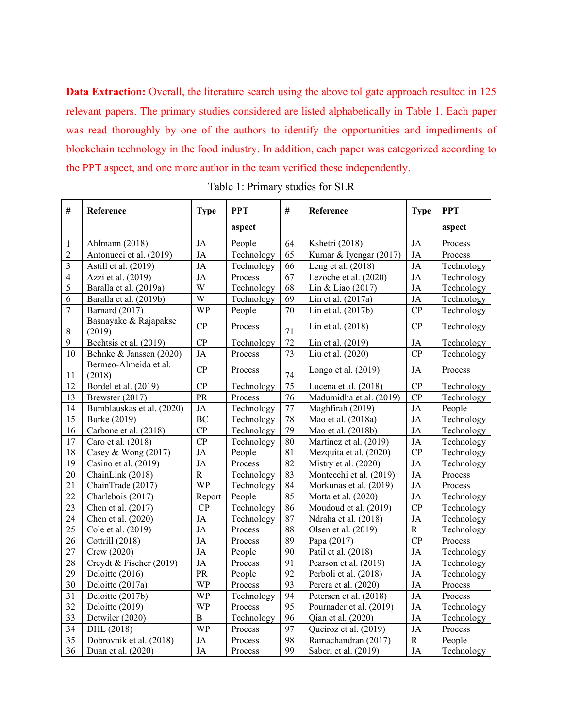**Data Extraction:** Overall, the literature search using the above tollgate approach resulted in 125 relevant papers. The primary studies considered are listed alphabetically in Table 1. Each paper was read thoroughly by one of the authors to identify the opportunities and impediments of blockchain technology in the food industry. In addition, each paper was categorized according to the PPT aspect, and one more author in the team verified these independently.

| #               | Reference                       | <b>Type</b>     | <b>PPT</b> | #               | Reference                             | <b>Type</b> | <b>PPT</b> |
|-----------------|---------------------------------|-----------------|------------|-----------------|---------------------------------------|-------------|------------|
|                 |                                 |                 | aspect     |                 |                                       |             | aspect     |
| 1               | Ahlmann (2018)                  | <b>JA</b>       | People     | 64              | Kshetri (2018)                        | <b>JA</b>   | Process    |
| $\overline{2}$  | Antonucci et al. (2019)         | $\overline{JA}$ | Technology | $\overline{65}$ | Kumar & Iyengar (2017)                | <b>JA</b>   | Process    |
| 3               | Astill et al. (2019)            | JA              | Technology | 66              | Leng et al. $(2018)$                  | JA          | Technology |
| $\overline{4}$  | Azzi et al. (2019)              | JA              | Process    | 67              | Lezoche et al. (2020)                 | JA          | Technology |
| 5               | Baralla et al. (2019a)          | $\overline{W}$  | Technology | $\overline{68}$ | $\overline{\text{Lin}}$ & Liao (2017) | JA          | Technology |
| 6               | Baralla et al. (2019b)          | $\overline{W}$  | Technology | 69              | Lin et al. (2017a)                    | JA          | Technology |
| $\overline{7}$  | Barnard (2017)                  | <b>WP</b>       | People     | 70              | Lin et al. (2017b)                    | CP          | Technology |
| $\,8\,$         | Basnayake & Rajapakse<br>(2019) | CP              | Process    | 71              | Lin et al. (2018)                     | CP          | Technology |
| 9               | Bechtsis et al. (2019)          | CP              | Technology | 72              | Lin et al. (2019)                     | JA          | Technology |
| 10              | Behnke & Janssen (2020)         | JA              | Process    | 73              | Liu et al. (2020)                     | CP          | Technology |
| 11              | Bermeo-Almeida et al.<br>(2018) | CP              | Process    | 74              | Longo et al. $(2019)$                 | JA          | Process    |
| 12              | Bordel et al. (2019)            | CP              | Technology | 75              | Lucena et al. (2018)                  | CP          | Technology |
| 13              | Brewster (2017)                 | PR              | Process    | 76              | Madumidha et al. (2019)               | CP          | Technology |
| 14              | Bumblauskas et al. (2020)       | JA              | Technology | 77              | Maghfirah (2019)                      | JA          | People     |
| 15              | Burke (2019)                    | BC              | Technology | 78              | Mao et al. (2018a)                    | JA          | Technology |
| 16              | Carbone et al. (2018)           | CP              | Technology | 79              | Mao et al. (2018b)                    | JA          | Technology |
| 17              | Caro et al. (2018)              | CP              | Technology | $80\,$          | Martinez et al. (2019)                | JA          | Technology |
| 18              | Casey & Wong (2017)             | JA              | People     | 81              | Mezquita et al. (2020)                | CP          | Technology |
| 19              | Casino et al. (2019)            | <b>JA</b>       | Process    | 82              | Mistry et al. (2020)                  | JA          | Technology |
| 20              | ChainLink (2018)                | $\overline{R}$  | Technology | 83              | Montecchi et al. (2019)               | JA          | Process    |
| 21              | ChainTrade (2017)               | <b>WP</b>       | Technology | 84              | Morkunas et al. (2019)                | JA          | Process    |
| 22              | Charlebois (2017)               | Report          | People     | 85              | Motta et al. $(2020)$                 | JA          | Technology |
| 23              | Chen et al. (2017)              | CP              | Technology | 86              | Moudoud et al. (2019)                 | CP          | Technology |
| 24              | Chen et al. (2020)              | JA              | Technology | 87              | Ndraha et al. (2018)                  | JA          | Technology |
| 25              | Cole et al. (2019)              | JA              | Process    | 88              | Olsen et al. (2019)                   | $\mathbf R$ | Technology |
| 26              | Cottrill (2018)                 | JA              | Process    | 89              | Papa (2017)                           | CP          | Process    |
| 27              | Crew (2020)                     | JA              | People     | 90              | Patil et al. (2018)                   | JA          | Technology |
| 28              | Creydt & Fischer (2019)         | JA              | Process    | 91              | Pearson et al. (2019)                 | JA          | Technology |
| 29              | Deloitte (2016)                 | PR              | People     | 92              | Perboli et al. (2018)                 | JA          | Technology |
| 30              | Deloitte (2017a)                | <b>WP</b>       | Process    | 93              | Perera et al. (2020)                  | JA          | Process    |
| 31              | Deloitte (2017b)                | <b>WP</b>       | Technology | 94              | Petersen et al. (2018)                | JA          | Process    |
| $\overline{32}$ | Deloitte (2019)                 | <b>WP</b>       | Process    | 95              | Pournader et al. (2019)               | JA          | Technology |
| 33              | Detwiler (2020)                 | $\mathbf B$     | Technology | 96              | Qian et al. (2020)                    | JA          | Technology |
| 34              | DHL (2018)                      | <b>WP</b>       | Process    | 97              | Queiroz et al. (2019)                 | JA          | Process    |
| 35              | Dobrovnik et al. (2018)         | JA              | Process    | 98              | Ramachandran (2017)                   | ${\bf R}$   | People     |
| 36              | Duan et al. (2020)              | JA              | Process    | 99              | Saberi et al. (2019)                  | JA          | Technology |

Table 1: Primary studies for SLR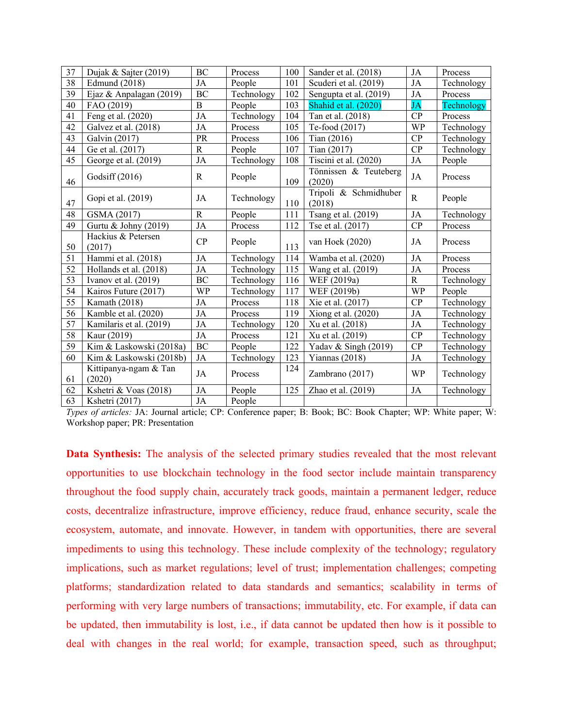| 37              | Dujak & Sajter (2019)           | <b>BC</b>    | Process    | 100 | Sander et al. (2018)            | <b>JA</b>   | Process    |
|-----------------|---------------------------------|--------------|------------|-----|---------------------------------|-------------|------------|
| 38              | Edmund (2018)                   | <b>JA</b>    | People     | 101 | Scuderi et al. (2019)           | <b>JA</b>   | Technology |
| 39              | Ejaz & Anpalagan (2019)         | BC           | Technology | 102 | Sengupta et al. (2019)          | JA          | Process    |
| 40              | FAO (2019)                      | $\, {\bf B}$ | People     | 103 | Shahid et al. (2020)            | <b>JA</b>   | Technology |
| 41              | Feng et al. (2020)              | <b>JA</b>    | Technology | 104 | Tan et al. (2018)               | CP          | Process    |
| 42              | Galvez et al. (2018)            | <b>JA</b>    | Process    | 105 | Te-food (2017)                  | <b>WP</b>   | Technology |
| 43              | Galvin (2017)                   | ${\rm PR}$   | Process    | 106 | Tian (2016)                     | CP          | Technology |
| 44              | Ge et al. (2017)                | $\mathbf R$  | People     | 107 | Tian (2017)                     | CP          | Technology |
| 45              | George et al. (2019)            | JA           | Technology | 108 | Tiscini et al. (2020)           | JA          | People     |
| 46              | Godsiff (2016)                  | $\mathbf R$  | People     | 109 | Tönnissen & Teuteberg<br>(2020) | JA          | Process    |
| 47              | Gopi et al. (2019)              | JA           | Technology | 110 | Tripoli & Schmidhuber<br>(2018) | $\mathbf R$ | People     |
| 48              | GSMA (2017)                     | $\mathbf R$  | People     | 111 | Tsang et al. (2019)             | JA          | Technology |
| 49              | Gurtu & Johny (2019)            | $\rm JA$     | Process    | 112 | Tse et al. (2017)               | CP          | Process    |
| 50              | Hackius & Petersen<br>(2017)    | CP           | People     | 113 | van Hoek (2020)                 | JA          | Process    |
| 51              | Hammi et al. (2018)             | JA           | Technology | 114 | Wamba et al. (2020)             | JA          | Process    |
| $\overline{52}$ | Hollands et al. (2018)          | <b>JA</b>    | Technology | 115 | Wang et al. (2019)              | JA          | Process    |
| 53              | Ivanov et al. $(2019)$          | $\rm BC$     | Technology | 116 | WEF (2019a)                     | ${\bf R}$   | Technology |
| 54              | Kairos Future (2017)            | WP           | Technology | 117 | WEF (2019b)                     | WP          | People     |
| $\overline{55}$ | Kamath (2018)                   | <b>JA</b>    | Process    | 118 | Xie et al. (2017)               | CP          | Technology |
| 56              | Kamble et al. (2020)            | JA           | Process    | 119 | Xiong et al. (2020)             | JA          | Technology |
| 57              | Kamilaris et al. (2019)         | <b>JA</b>    | Technology | 120 | Xu et al. (2018)                | $\rm JA$    | Technology |
| 58              | Kaur (2019)                     | <b>JA</b>    | Process    | 121 | Xu et al. (2019)                | CP          | Technology |
| 59              | Kim & Laskowski (2018a)         | BC           | People     | 122 | Yadav & Singh (2019)            | CP          | Technology |
| 60              | Kim & Laskowski (2018b)         | JA           | Technology | 123 | Yiannas (2018)                  | JA          | Technology |
| 61              | Kittipanya-ngam & Tan<br>(2020) | <b>JA</b>    | Process    | 124 | Zambrano (2017)                 | <b>WP</b>   | Technology |
| 62              | Kshetri & Voas (2018)           | JA           | People     | 125 | Zhao et al. $(2019)$            | JA          | Technology |
| 63              | Kshetri (2017)                  | JA           | People     |     |                                 |             |            |

*Types of articles:* JA: Journal article; CP: Conference paper; B: Book; BC: Book Chapter; WP: White paper; W: Workshop paper; PR: Presentation

**Data Synthesis:** The analysis of the selected primary studies revealed that the most relevant opportunities to use blockchain technology in the food sector include maintain transparency throughout the food supply chain, accurately track goods, maintain a permanent ledger, reduce costs, decentralize infrastructure, improve efficiency, reduce fraud, enhance security, scale the ecosystem, automate, and innovate. However, in tandem with opportunities, there are several impediments to using this technology. These include complexity of the technology; regulatory implications, such as market regulations; level of trust; implementation challenges; competing platforms; standardization related to data standards and semantics; scalability in terms of performing with very large numbers of transactions; immutability, etc. For example, if data can be updated, then immutability is lost, i.e., if data cannot be updated then how is it possible to deal with changes in the real world; for example, transaction speed, such as throughput;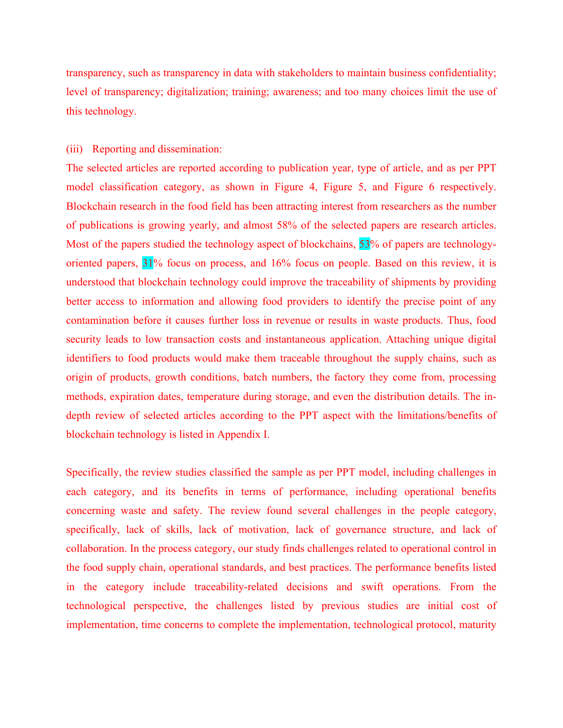transparency, such as transparency in data with stakeholders to maintain business confidentiality; level of transparency; digitalization; training; awareness; and too many choices limit the use of this technology.

#### (iii) Reporting and dissemination:

The selected articles are reported according to publication year, type of article, and as per PPT model classification category, as shown in Figure 4, Figure 5, and Figure 6 respectively. Blockchain research in the food field has been attracting interest from researchers as the number of publications is growing yearly, and almost 58% of the selected papers are research articles. Most of the papers studied the technology aspect of blockchains, 53% of papers are technologyoriented papers, 31% focus on process, and 16% focus on people. Based on this review, it is understood that blockchain technology could improve the traceability of shipments by providing better access to information and allowing food providers to identify the precise point of any contamination before it causes further loss in revenue or results in waste products. Thus, food security leads to low transaction costs and instantaneous application. Attaching unique digital identifiers to food products would make them traceable throughout the supply chains, such as origin of products, growth conditions, batch numbers, the factory they come from, processing methods, expiration dates, temperature during storage, and even the distribution details. The indepth review of selected articles according to the PPT aspect with the limitations/benefits of blockchain technology is listed in Appendix I.

Specifically, the review studies classified the sample as per PPT model, including challenges in each category, and its benefits in terms of performance, including operational benefits concerning waste and safety. The review found several challenges in the people category, specifically, lack of skills, lack of motivation, lack of governance structure, and lack of collaboration. In the process category, our study finds challenges related to operational control in the food supply chain, operational standards, and best practices. The performance benefits listed in the category include traceability-related decisions and swift operations. From the technological perspective, the challenges listed by previous studies are initial cost of implementation, time concerns to complete the implementation, technological protocol, maturity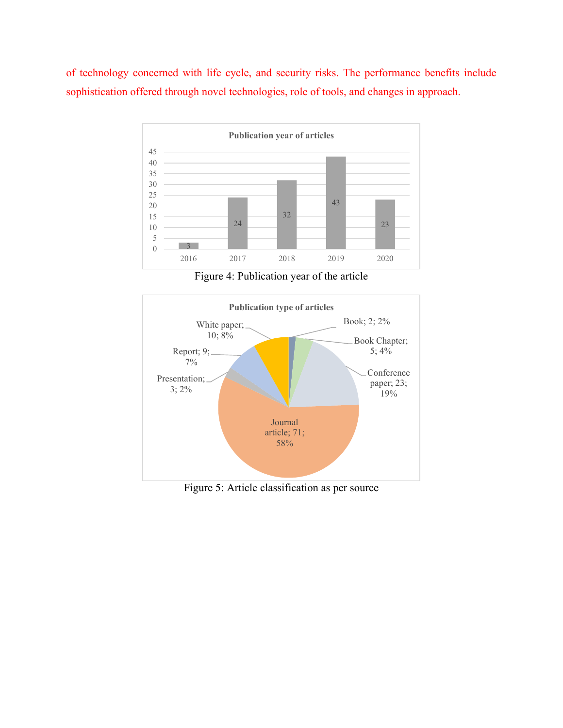of technology concerned with life cycle, and security risks. The performance benefits include sophistication offered through novel technologies, role of tools, and changes in approach.



Figure 4: Publication year of the article



Figure 5: Article classification as per source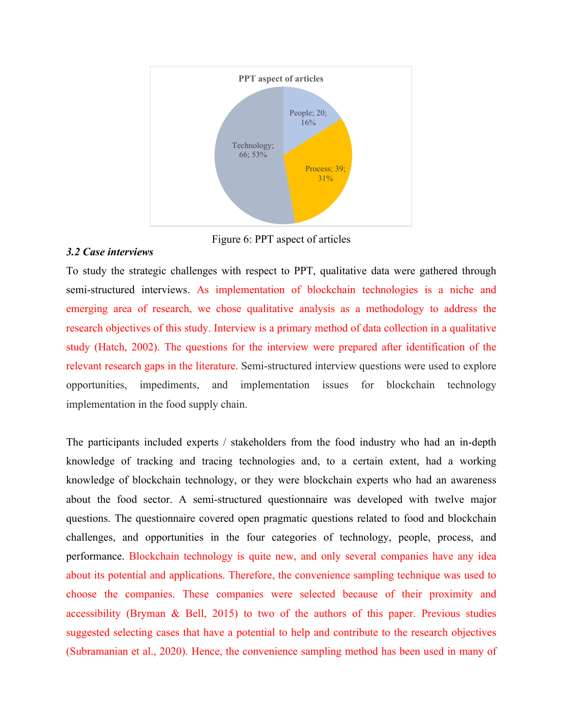

Figure 6: PPT aspect of articles

### *3.2 Case interviews*

To study the strategic challenges with respect to PPT, qualitative data were gathered through semi-structured interviews. As implementation of blockchain technologies is a niche and emerging area of research, we chose qualitative analysis as a methodology to address the research objectives of this study. Interview is a primary method of data collection in a qualitative study (Hatch, 2002). The questions for the interview were prepared after identification of the relevant research gaps in the literature. Semi-structured interview questions were used to explore opportunities, impediments, and implementation issues for blockchain technology implementation in the food supply chain.

The participants included experts / stakeholders from the food industry who had an in-depth knowledge of tracking and tracing technologies and, to a certain extent, had a working knowledge of blockchain technology, or they were blockchain experts who had an awareness about the food sector. A semi-structured questionnaire was developed with twelve major questions. The questionnaire covered open pragmatic questions related to food and blockchain challenges, and opportunities in the four categories of technology, people, process, and performance. Blockchain technology is quite new, and only several companies have any idea about its potential and applications. Therefore, the convenience sampling technique was used to choose the companies. These companies were selected because of their proximity and accessibility (Bryman & Bell, 2015) to two of the authors of this paper. Previous studies suggested selecting cases that have a potential to help and contribute to the research objectives (Subramanian et al., 2020). Hence, the convenience sampling method has been used in many of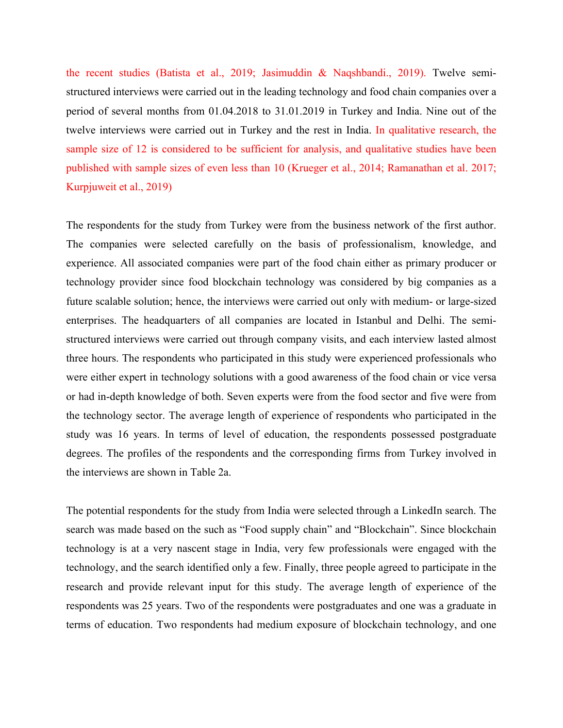the recent studies (Batista et al., 2019; Jasimuddin & Naqshbandi., 2019). Twelve semistructured interviews were carried out in the leading technology and food chain companies over a period of several months from 01.04.2018 to 31.01.2019 in Turkey and India. Nine out of the twelve interviews were carried out in Turkey and the rest in India. In qualitative research, the sample size of 12 is considered to be sufficient for analysis, and qualitative studies have been published with sample sizes of even less than 10 (Krueger et al., 2014; Ramanathan et al. 2017; Kurpjuweit et al., 2019)

The respondents for the study from Turkey were from the business network of the first author. The companies were selected carefully on the basis of professionalism, knowledge, and experience. All associated companies were part of the food chain either as primary producer or technology provider since food blockchain technology was considered by big companies as a future scalable solution; hence, the interviews were carried out only with medium- or large-sized enterprises. The headquarters of all companies are located in Istanbul and Delhi. The semistructured interviews were carried out through company visits, and each interview lasted almost three hours. The respondents who participated in this study were experienced professionals who were either expert in technology solutions with a good awareness of the food chain or vice versa or had in-depth knowledge of both. Seven experts were from the food sector and five were from the technology sector. The average length of experience of respondents who participated in the study was 16 years. In terms of level of education, the respondents possessed postgraduate degrees. The profiles of the respondents and the corresponding firms from Turkey involved in the interviews are shown in Table 2a.

The potential respondents for the study from India were selected through a LinkedIn search. The search was made based on the such as "Food supply chain" and "Blockchain". Since blockchain technology is at a very nascent stage in India, very few professionals were engaged with the technology, and the search identified only a few. Finally, three people agreed to participate in the research and provide relevant input for this study. The average length of experience of the respondents was 25 years. Two of the respondents were postgraduates and one was a graduate in terms of education. Two respondents had medium exposure of blockchain technology, and one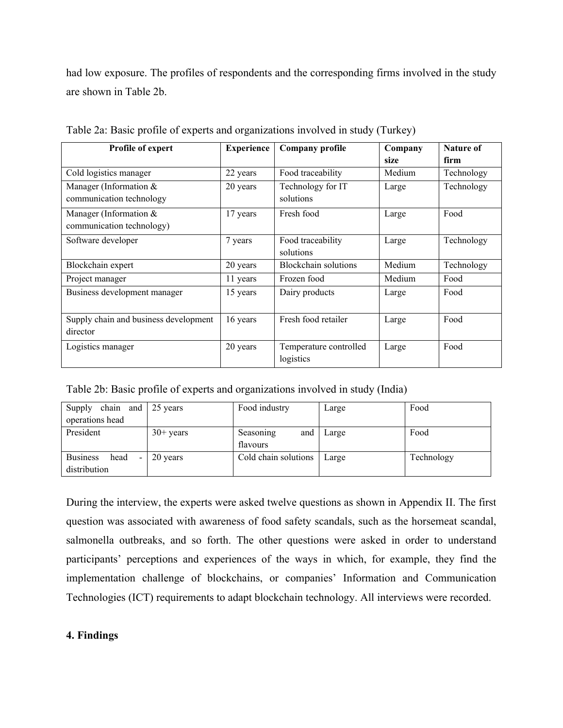had low exposure. The profiles of respondents and the corresponding firms involved in the study are shown in Table 2b.

| Profile of expert                     | <b>Experience</b> | <b>Company profile</b> | Company | Nature of  |
|---------------------------------------|-------------------|------------------------|---------|------------|
|                                       |                   |                        | size    | firm       |
| Cold logistics manager                | 22 years          | Food traceability      | Medium  | Technology |
| Manager (Information $&$              | 20 years          | Technology for IT      | Large   | Technology |
| communication technology              |                   | solutions              |         |            |
| Manager (Information $&$              | 17 years          | Fresh food             | Large   | Food       |
| communication technology)             |                   |                        |         |            |
| Software developer                    | 7 years           | Food traceability      | Large   | Technology |
|                                       |                   | solutions              |         |            |
| Blockchain expert                     | 20 years          | Blockchain solutions   | Medium  | Technology |
| Project manager                       | 11 years          | Frozen food            | Medium  | Food       |
| Business development manager          | 15 years          | Dairy products         | Large   | Food       |
|                                       |                   |                        |         |            |
| Supply chain and business development | 16 years          | Fresh food retailer    | Large   | Food       |
| director                              |                   |                        |         |            |
| Logistics manager                     | 20 years          | Temperature controlled | Large   | Food       |
|                                       |                   | logistics              |         |            |

Table 2a: Basic profile of experts and organizations involved in study (Turkey)

Table 2b: Basic profile of experts and organizations involved in study (India)

| chain and $25$ years<br>Supply                  |             | Food industry        | Large | Food       |
|-------------------------------------------------|-------------|----------------------|-------|------------|
| operations head                                 |             |                      |       |            |
| President                                       | $30+$ years | Seasoning<br>and     | Large | Food       |
|                                                 |             | flavours             |       |            |
| head<br><b>Business</b><br>$\sim$ $\sim$ $\sim$ | 20 years    | Cold chain solutions | Large | Technology |
| distribution                                    |             |                      |       |            |

During the interview, the experts were asked twelve questions as shown in Appendix II. The first question was associated with awareness of food safety scandals, such as the horsemeat scandal, salmonella outbreaks, and so forth. The other questions were asked in order to understand participants' perceptions and experiences of the ways in which, for example, they find the implementation challenge of blockchains, or companies' Information and Communication Technologies (ICT) requirements to adapt blockchain technology. All interviews were recorded.

### **4. Findings**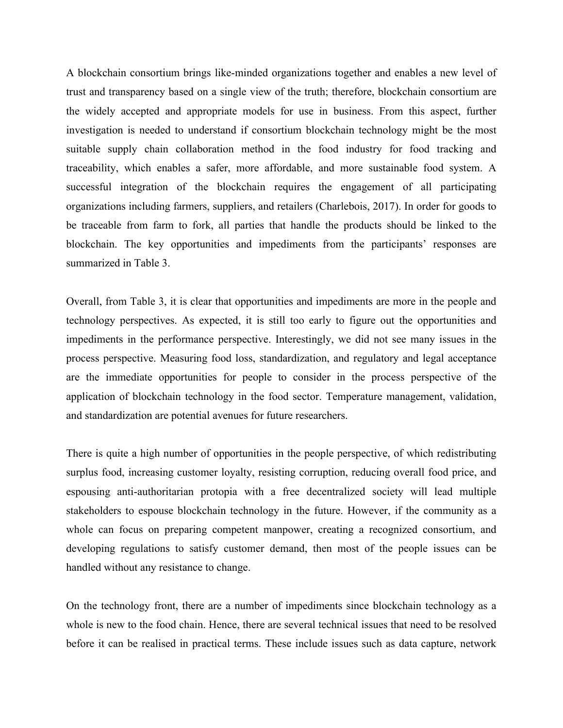A blockchain consortium brings like-minded organizations together and enables a new level of trust and transparency based on a single view of the truth; therefore, blockchain consortium are the widely accepted and appropriate models for use in business. From this aspect, further investigation is needed to understand if consortium blockchain technology might be the most suitable supply chain collaboration method in the food industry for food tracking and traceability, which enables a safer, more affordable, and more sustainable food system. A successful integration of the blockchain requires the engagement of all participating organizations including farmers, suppliers, and retailers (Charlebois, 2017). In order for goods to be traceable from farm to fork, all parties that handle the products should be linked to the blockchain. The key opportunities and impediments from the participants' responses are summarized in Table 3.

Overall, from Table 3, it is clear that opportunities and impediments are more in the people and technology perspectives. As expected, it is still too early to figure out the opportunities and impediments in the performance perspective. Interestingly, we did not see many issues in the process perspective. Measuring food loss, standardization, and regulatory and legal acceptance are the immediate opportunities for people to consider in the process perspective of the application of blockchain technology in the food sector. Temperature management, validation, and standardization are potential avenues for future researchers.

There is quite a high number of opportunities in the people perspective, of which redistributing surplus food, increasing customer loyalty, resisting corruption, reducing overall food price, and espousing anti-authoritarian protopia with a free decentralized society will lead multiple stakeholders to espouse blockchain technology in the future. However, if the community as a whole can focus on preparing competent manpower, creating a recognized consortium, and developing regulations to satisfy customer demand, then most of the people issues can be handled without any resistance to change.

On the technology front, there are a number of impediments since blockchain technology as a whole is new to the food chain. Hence, there are several technical issues that need to be resolved before it can be realised in practical terms. These include issues such as data capture, network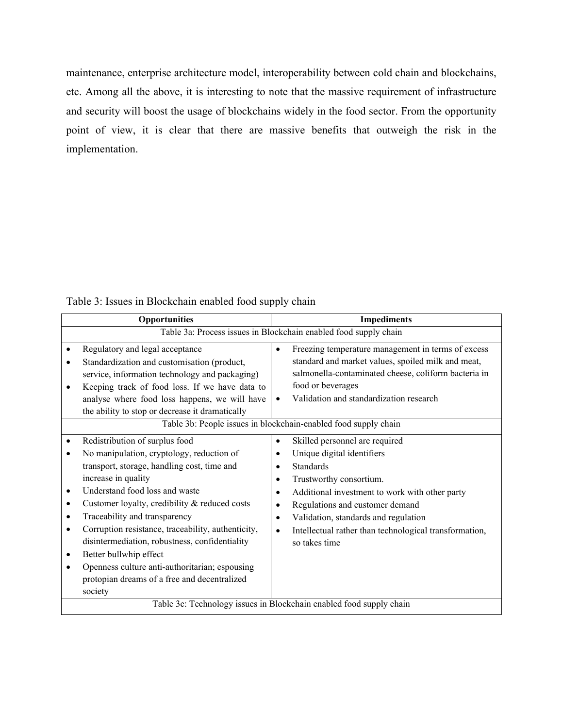maintenance, enterprise architecture model, interoperability between cold chain and blockchains, etc. Among all the above, it is interesting to note that the massive requirement of infrastructure and security will boost the usage of blockchains widely in the food sector. From the opportunity point of view, it is clear that there are massive benefits that outweigh the risk in the implementation.

Table 3: Issues in Blockchain enabled food supply chain

| Opportunities                                                                                                                                                                                                                                                                                                                                                                                                                                                                                                                                                                                                                                     | <b>Impediments</b>                                                                                                                                                                                                                                                                                                                                                                         |  |  |  |  |
|---------------------------------------------------------------------------------------------------------------------------------------------------------------------------------------------------------------------------------------------------------------------------------------------------------------------------------------------------------------------------------------------------------------------------------------------------------------------------------------------------------------------------------------------------------------------------------------------------------------------------------------------------|--------------------------------------------------------------------------------------------------------------------------------------------------------------------------------------------------------------------------------------------------------------------------------------------------------------------------------------------------------------------------------------------|--|--|--|--|
| Table 3a: Process issues in Blockchain enabled food supply chain                                                                                                                                                                                                                                                                                                                                                                                                                                                                                                                                                                                  |                                                                                                                                                                                                                                                                                                                                                                                            |  |  |  |  |
| Regulatory and legal acceptance<br>Freezing temperature management in terms of excess<br>$\bullet$<br>$\bullet$<br>standard and market values, spoiled milk and meat,<br>Standardization and customisation (product,<br>$\bullet$<br>salmonella-contaminated cheese, coliform bacteria in<br>service, information technology and packaging)<br>food or beverages<br>Keeping track of food loss. If we have data to<br>$\bullet$<br>Validation and standardization research<br>analyse where food loss happens, we will have<br>the ability to stop or decrease it dramatically<br>Table 3b: People issues in blockchain-enabled food supply chain |                                                                                                                                                                                                                                                                                                                                                                                            |  |  |  |  |
| Redistribution of surplus food<br>$\bullet$<br>No manipulation, cryptology, reduction of<br>$\bullet$<br>transport, storage, handling cost, time and<br>increase in quality<br>Understand food loss and waste<br>$\bullet$<br>Customer loyalty, credibility & reduced costs<br>٠<br>Traceability and transparency<br>$\bullet$<br>Corruption resistance, traceability, authenticity,<br>٠<br>disintermediation, robustness, confidentiality<br>Better bullwhip effect<br>$\bullet$<br>Openness culture anti-authoritarian; espousing<br>$\bullet$<br>protopian dreams of a free and decentralized<br>society                                      | Skilled personnel are required<br>$\bullet$<br>Unique digital identifiers<br>Standards<br>$\bullet$<br>Trustworthy consortium.<br>Additional investment to work with other party<br>$\bullet$<br>Regulations and customer demand<br>$\bullet$<br>Validation, standards and regulation<br>$\bullet$<br>Intellectual rather than technological transformation,<br>$\bullet$<br>so takes time |  |  |  |  |
| Table 3c: Technology issues in Blockchain enabled food supply chain                                                                                                                                                                                                                                                                                                                                                                                                                                                                                                                                                                               |                                                                                                                                                                                                                                                                                                                                                                                            |  |  |  |  |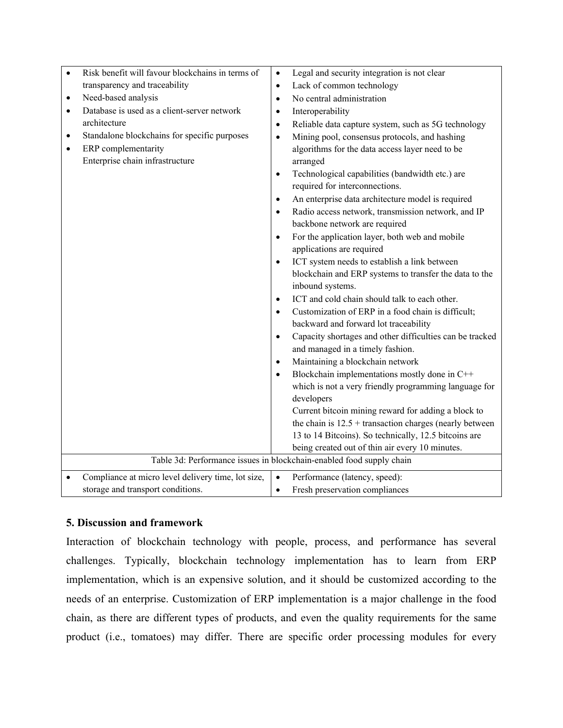| Risk benefit will favour blockchains in terms of<br>$\bullet$ | Legal and security integration is not clear<br>$\bullet$                                                           |
|---------------------------------------------------------------|--------------------------------------------------------------------------------------------------------------------|
| transparency and traceability                                 | Lack of common technology<br>$\bullet$                                                                             |
| Need-based analysis<br>$\bullet$                              | No central administration<br>$\bullet$                                                                             |
| Database is used as a client-server network<br>$\bullet$      | Interoperability<br>$\bullet$                                                                                      |
| architecture                                                  | Reliable data capture system, such as 5G technology<br>$\bullet$                                                   |
| Standalone blockchains for specific purposes<br>٠             | Mining pool, consensus protocols, and hashing<br>$\bullet$                                                         |
| ERP complementarity<br>$\bullet$                              | algorithms for the data access layer need to be                                                                    |
| Enterprise chain infrastructure                               | arranged                                                                                                           |
|                                                               | Technological capabilities (bandwidth etc.) are<br>$\bullet$<br>required for interconnections.                     |
|                                                               | An enterprise data architecture model is required<br>$\bullet$                                                     |
|                                                               | Radio access network, transmission network, and IP<br>$\bullet$                                                    |
|                                                               | backbone network are required                                                                                      |
|                                                               | For the application layer, both web and mobile<br>$\bullet$                                                        |
|                                                               | applications are required                                                                                          |
|                                                               | ICT system needs to establish a link between<br>$\bullet$                                                          |
|                                                               | blockchain and ERP systems to transfer the data to the                                                             |
|                                                               | inbound systems.                                                                                                   |
|                                                               | ICT and cold chain should talk to each other.<br>$\bullet$                                                         |
|                                                               | Customization of ERP in a food chain is difficult;<br>$\bullet$                                                    |
|                                                               | backward and forward lot traceability                                                                              |
|                                                               | Capacity shortages and other difficulties can be tracked<br>$\bullet$                                              |
|                                                               | and managed in a timely fashion.                                                                                   |
|                                                               | Maintaining a blockchain network<br>$\bullet$                                                                      |
|                                                               | Blockchain implementations mostly done in C++<br>$\bullet$                                                         |
|                                                               | which is not a very friendly programming language for                                                              |
|                                                               | developers                                                                                                         |
|                                                               | Current bitcoin mining reward for adding a block to                                                                |
|                                                               | the chain is $12.5 +$ transaction charges (nearly between<br>13 to 14 Bitcoins). So technically, 12.5 bitcoins are |
|                                                               | being created out of thin air every 10 minutes.                                                                    |
|                                                               | Table 3d: Performance issues in blockchain-enabled food supply chain                                               |
| Compliance at micro level delivery time, lot size,            | Performance (latency, speed):<br>$\bullet$                                                                         |
| storage and transport conditions.                             | Fresh preservation compliances<br>$\bullet$                                                                        |

### **5. Discussion and framework**

Interaction of blockchain technology with people, process, and performance has several challenges. Typically, blockchain technology implementation has to learn from ERP implementation, which is an expensive solution, and it should be customized according to the needs of an enterprise. Customization of ERP implementation is a major challenge in the food chain, as there are different types of products, and even the quality requirements for the same product (i.e., tomatoes) may differ. There are specific order processing modules for every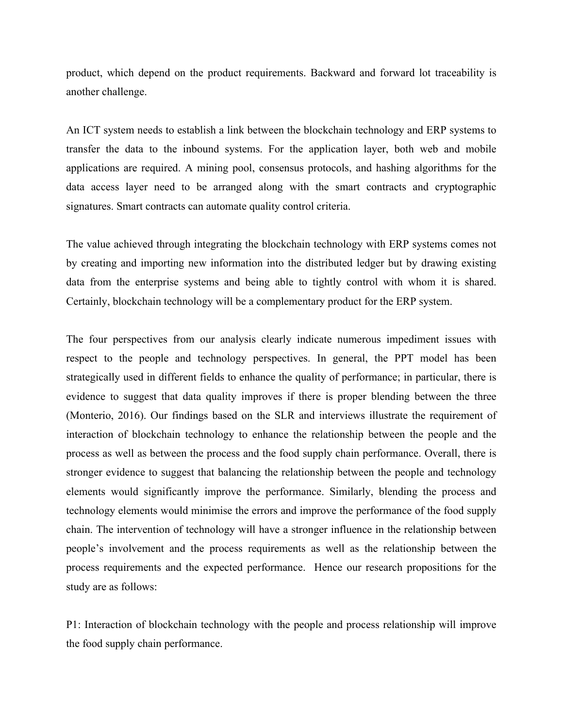product, which depend on the product requirements. Backward and forward lot traceability is another challenge.

An ICT system needs to establish a link between the blockchain technology and ERP systems to transfer the data to the inbound systems. For the application layer, both web and mobile applications are required. A mining pool, consensus protocols, and hashing algorithms for the data access layer need to be arranged along with the smart contracts and cryptographic signatures. Smart contracts can automate quality control criteria.

The value achieved through integrating the blockchain technology with ERP systems comes not by creating and importing new information into the distributed ledger but by drawing existing data from the enterprise systems and being able to tightly control with whom it is shared. Certainly, blockchain technology will be a complementary product for the ERP system.

The four perspectives from our analysis clearly indicate numerous impediment issues with respect to the people and technology perspectives. In general, the PPT model has been strategically used in different fields to enhance the quality of performance; in particular, there is evidence to suggest that data quality improves if there is proper blending between the three (Monterio, 2016). Our findings based on the SLR and interviews illustrate the requirement of interaction of blockchain technology to enhance the relationship between the people and the process as well as between the process and the food supply chain performance. Overall, there is stronger evidence to suggest that balancing the relationship between the people and technology elements would significantly improve the performance. Similarly, blending the process and technology elements would minimise the errors and improve the performance of the food supply chain. The intervention of technology will have a stronger influence in the relationship between people's involvement and the process requirements as well as the relationship between the process requirements and the expected performance. Hence our research propositions for the study are as follows:

P1: Interaction of blockchain technology with the people and process relationship will improve the food supply chain performance.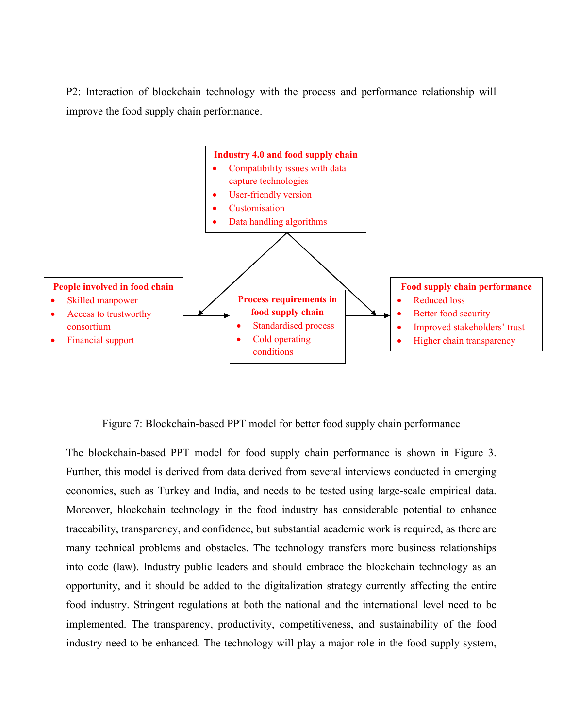P2: Interaction of blockchain technology with the process and performance relationship will improve the food supply chain performance.



Figure 7: Blockchain-based PPT model for better food supply chain performance

The blockchain-based PPT model for food supply chain performance is shown in Figure 3. Further, this model is derived from data derived from several interviews conducted in emerging economies, such as Turkey and India, and needs to be tested using large-scale empirical data. Moreover, blockchain technology in the food industry has considerable potential to enhance traceability, transparency, and confidence, but substantial academic work is required, as there are many technical problems and obstacles. The technology transfers more business relationships into code (law). Industry public leaders and should embrace the blockchain technology as an opportunity, and it should be added to the digitalization strategy currently affecting the entire food industry. Stringent regulations at both the national and the international level need to be implemented. The transparency, productivity, competitiveness, and sustainability of the food industry need to be enhanced. The technology will play a major role in the food supply system,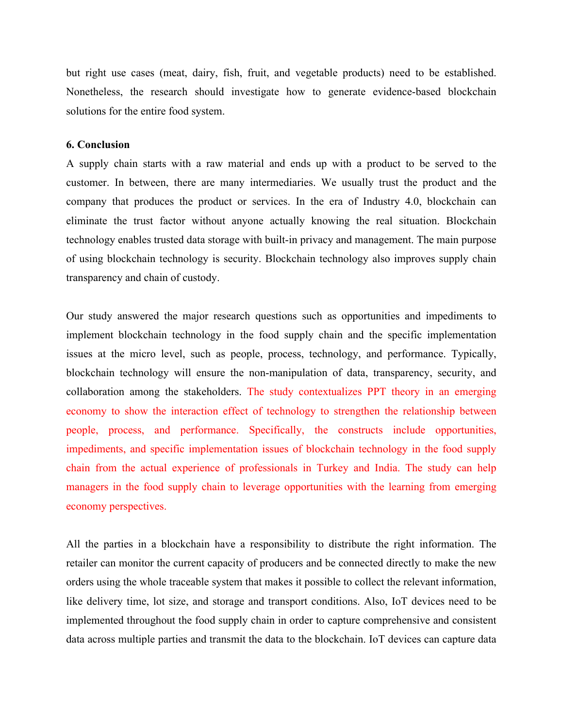but right use cases (meat, dairy, fish, fruit, and vegetable products) need to be established. Nonetheless, the research should investigate how to generate evidence-based blockchain solutions for the entire food system.

#### **6. Conclusion**

A supply chain starts with a raw material and ends up with a product to be served to the customer. In between, there are many intermediaries. We usually trust the product and the company that produces the product or services. In the era of Industry 4.0, blockchain can eliminate the trust factor without anyone actually knowing the real situation. Blockchain technology enables trusted data storage with built-in privacy and management. The main purpose of using blockchain technology is security. Blockchain technology also improves supply chain transparency and chain of custody.

Our study answered the major research questions such as opportunities and impediments to implement blockchain technology in the food supply chain and the specific implementation issues at the micro level, such as people, process, technology, and performance. Typically, blockchain technology will ensure the non-manipulation of data, transparency, security, and collaboration among the stakeholders. The study contextualizes PPT theory in an emerging economy to show the interaction effect of technology to strengthen the relationship between people, process, and performance. Specifically, the constructs include opportunities, impediments, and specific implementation issues of blockchain technology in the food supply chain from the actual experience of professionals in Turkey and India. The study can help managers in the food supply chain to leverage opportunities with the learning from emerging economy perspectives.

All the parties in a blockchain have a responsibility to distribute the right information. The retailer can monitor the current capacity of producers and be connected directly to make the new orders using the whole traceable system that makes it possible to collect the relevant information, like delivery time, lot size, and storage and transport conditions. Also, IoT devices need to be implemented throughout the food supply chain in order to capture comprehensive and consistent data across multiple parties and transmit the data to the blockchain. IoT devices can capture data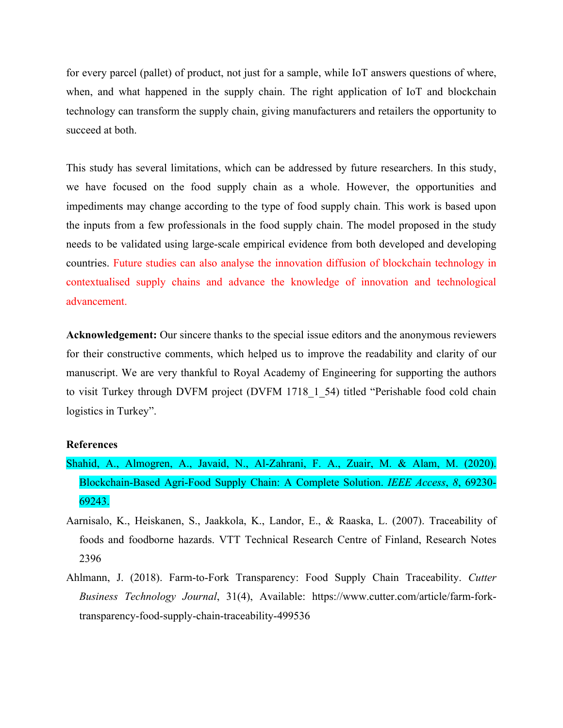for every parcel (pallet) of product, not just for a sample, while IoT answers questions of where, when, and what happened in the supply chain. The right application of IoT and blockchain technology can transform the supply chain, giving manufacturers and retailers the opportunity to succeed at both.

This study has several limitations, which can be addressed by future researchers. In this study, we have focused on the food supply chain as a whole. However, the opportunities and impediments may change according to the type of food supply chain. This work is based upon the inputs from a few professionals in the food supply chain. The model proposed in the study needs to be validated using large-scale empirical evidence from both developed and developing countries. Future studies can also analyse the innovation diffusion of blockchain technology in contextualised supply chains and advance the knowledge of innovation and technological advancement.

**Acknowledgement:** Our sincere thanks to the special issue editors and the anonymous reviewers for their constructive comments, which helped us to improve the readability and clarity of our manuscript. We are very thankful to Royal Academy of Engineering for supporting the authors to visit Turkey through DVFM project (DVFM 1718 1 54) titled "Perishable food cold chain logistics in Turkey".

### **References**

- Shahid, A., Almogren, A., Javaid, N., Al-Zahrani, F. A., Zuair, M. & Alam, M. (2020). Blockchain-Based Agri-Food Supply Chain: A Complete Solution. *IEEE Access*, *8*, 69230- 69243.
- Aarnisalo, K., Heiskanen, S., Jaakkola, K., Landor, E., & Raaska, L. (2007). Traceability of foods and foodborne hazards. VTT Technical Research Centre of Finland, Research Notes 2396
- Ahlmann, J. (2018). Farm-to-Fork Transparency: Food Supply Chain Traceability. *Cutter Business Technology Journal*, 31(4), Available: [https://www.cutter.com/article/farm-fork](https://www.cutter.com/article/farm-fork-transparency-food-supply-chain-traceability-499536)[transparency-food-supply-chain-traceability-499536](https://www.cutter.com/article/farm-fork-transparency-food-supply-chain-traceability-499536)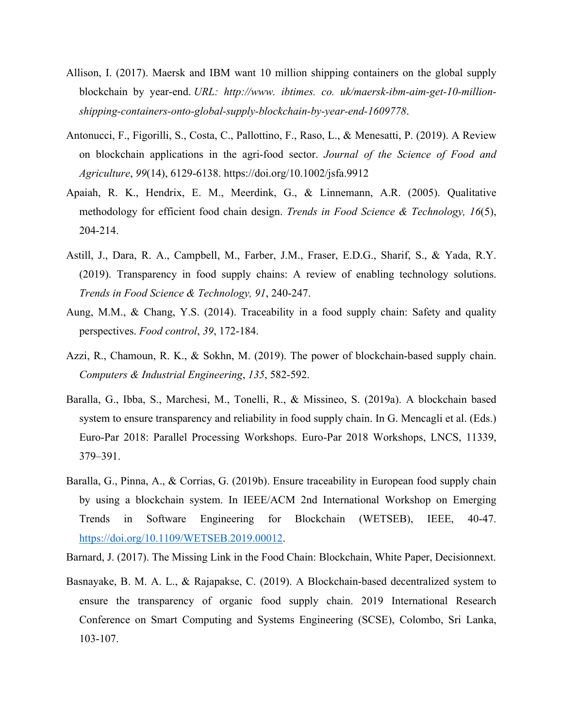- Allison, I. (2017). Maersk and IBM want 10 million shipping containers on the global supply blockchain by year-end. *URL: http://www. ibtimes. co. uk/maersk-ibm-aim-get-10-millionshipping-containers-onto-global-supply-blockchain-by-year-end-1609778*.
- Antonucci, F., Figorilli, S., Costa, C., Pallottino, F., Raso, L., & Menesatti, P. (2019). A Review on blockchain applications in the agri‐food sector. *Journal of the Science of Food and Agriculture*, *99*(14), 6129-6138. https://doi.org/10.1002/jsfa.9912
- Apaiah, R. K., Hendrix, E. M., Meerdink, G., & Linnemann, A.R. (2005). Qualitative methodology for efficient food chain design. *Trends in Food Science & Technology, 16*(5), 204-214.
- Astill, J., Dara, R. A., Campbell, M., Farber, J.M., Fraser, E.D.G., Sharif, S., & Yada, R.Y. (2019). Transparency in food supply chains: A review of enabling technology solutions. *Trends in Food Science & Technology, 91*, 240-247.
- Aung, M.M., & Chang, Y.S. (2014). Traceability in a food supply chain: Safety and quality perspectives. *Food control*, *39*, 172-184.
- Azzi, R., Chamoun, R. K., & Sokhn, M. (2019). The power of blockchain-based supply chain. *Computers & Industrial Engineering*, *135*, 582-592.
- Baralla, G., Ibba, S., Marchesi, M., Tonelli, R., & Missineo, S. (2019a). A blockchain based system to ensure transparency and reliability in food supply chain. In G. Mencagli et al. (Eds.) Euro-Par 2018: Parallel Processing Workshops. Euro-Par 2018 Workshops, LNCS, 11339, 379–391.
- Baralla, G., Pinna, A., & Corrias, G. (2019b). Ensure traceability in European food supply chain by using a blockchain system. In IEEE/ACM 2nd International Workshop on Emerging Trends in Software Engineering for Blockchain (WETSEB), IEEE, 40-47. [https://doi.org/10.1109/WETSEB.2019.00012.](https://doi.org/10.1109/WETSEB.2019.00012)
- Barnard, J. (2017). The Missing Link in the Food Chain: Blockchain, White Paper, Decisionnext.
- Basnayake, B. M. A. L., & Rajapakse, C. (2019). A Blockchain-based decentralized system to ensure the transparency of organic food supply chain. 2019 International Research Conference on Smart Computing and Systems Engineering (SCSE), Colombo, Sri Lanka, 103-107.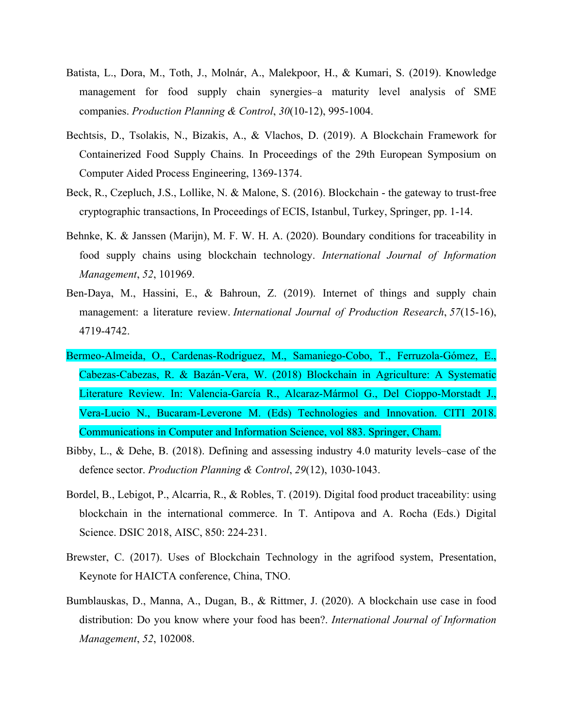- Batista, L., Dora, M., Toth, J., Molnár, A., Malekpoor, H., & Kumari, S. (2019). Knowledge management for food supply chain synergies–a maturity level analysis of SME companies. *Production Planning & Control*, *30*(10-12), 995-1004.
- Bechtsis, D., Tsolakis, N., Bizakis, A., & Vlachos, D. (2019). A Blockchain Framework for Containerized Food Supply Chains. In Proceedings of the 29th European Symposium on Computer Aided Process Engineering, 1369-1374.
- Beck, R., Czepluch, J.S., Lollike, N. & Malone, S. (2016). Blockchain the gateway to trust-free cryptographic transactions, In Proceedings of ECIS, Istanbul, Turkey, Springer, pp. 1-14.
- Behnke, K. & Janssen (Marijn), M. F. W. H. A. (2020). Boundary conditions for traceability in food supply chains using blockchain technology. *International Journal of Information Management*, *52*, 101969.
- Ben-Daya, M., Hassini, E., & Bahroun, Z. (2019). Internet of things and supply chain management: a literature review. *International Journal of Production Research*, *57*(15-16), 4719-4742.
- Bermeo-Almeida, O., Cardenas-Rodriguez, M., Samaniego-Cobo, T., Ferruzola-Gómez, E., Cabezas-Cabezas, R. & Bazán-Vera, W. (2018) Blockchain in Agriculture: A Systematic Literature Review. In: Valencia-García R., Alcaraz-Mármol G., Del Cioppo-Morstadt J., Vera-Lucio N., Bucaram-Leverone M. (Eds) Technologies and Innovation. CITI 2018. Communications in Computer and Information Science, vol 883. Springer, Cham.
- Bibby, L., & Dehe, B. (2018). Defining and assessing industry 4.0 maturity levels–case of the defence sector. *Production Planning & Control*, *29*(12), 1030-1043.
- Bordel, B., Lebigot, P., Alcarria, R., & Robles, T. (2019). Digital food product traceability: using blockchain in the international commerce. In T. Antipova and A. Rocha (Eds.) Digital Science. DSIC 2018, AISC, 850: 224-231.
- Brewster, C. (2017). Uses of Blockchain Technology in the agrifood system, Presentation, Keynote for HAICTA conference, China, TNO.
- Bumblauskas, D., Manna, A., Dugan, B., & Rittmer, J. (2020). A blockchain use case in food distribution: Do you know where your food has been?. *International Journal of Information Management*, *52*, 102008.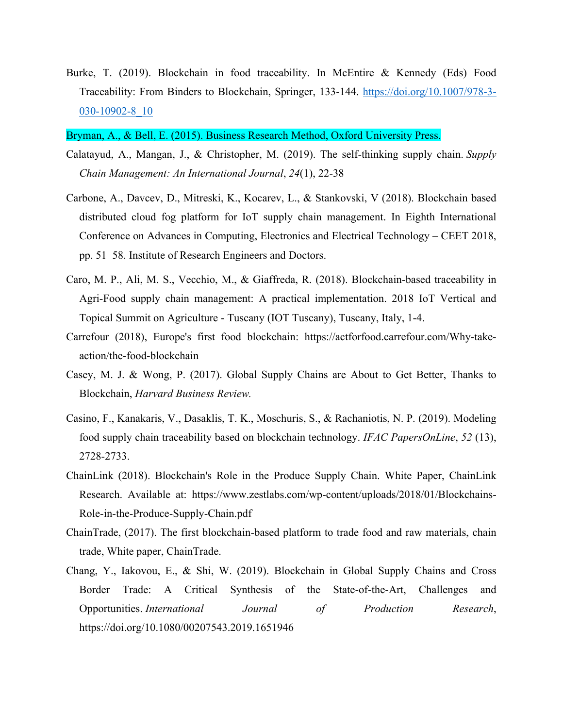Burke, T. (2019). Blockchain in food traceability. In McEntire & Kennedy (Eds) Food Traceability: From Binders to Blockchain, Springer, 133-144. [https://doi.org/10.1007/978-3-](https://doi.org/10.1007/978-3-030-10902-8_10) [030-10902-8\\_10](https://doi.org/10.1007/978-3-030-10902-8_10)

#### Bryman, A., & Bell, E. (2015). Business Research Method, Oxford University Press.

- Calatayud, A., Mangan, J., & Christopher, M. (2019). The self-thinking supply chain. *Supply Chain Management: An International Journal*, *24*(1), 22-38
- Carbone, A., Davcev, D., Mitreski, K., Kocarev, L., & Stankovski, V (2018). Blockchain based distributed cloud fog platform for IoT supply chain management. In Eighth International Conference on Advances in Computing, Electronics and Electrical Technology – CEET 2018, pp. 51–58. Institute of Research Engineers and Doctors.
- Caro, M. P., Ali, M. S., Vecchio, M., & Giaffreda, R. (2018). Blockchain-based traceability in Agri-Food supply chain management: A practical implementation. 2018 IoT Vertical and Topical Summit on Agriculture - Tuscany (IOT Tuscany), Tuscany, Italy, 1-4.
- Carrefour (2018), Europe's first food blockchain: https://actforfood.carrefour.com/Why-takeaction/the-food-blockchain
- Casey, M. J. & Wong, P. (2017). Global Supply Chains are About to Get Better, Thanks to Blockchain, *Harvard Business Review.*
- Casino, F., Kanakaris, V., Dasaklis, T. K., Moschuris, S., & Rachaniotis, N. P. (2019). Modeling food supply chain traceability based on blockchain technology. *IFAC PapersOnLine*, *52* (13), 2728-2733.
- ChainLink (2018). Blockchain's Role in the Produce Supply Chain. White Paper, ChainLink Research. Available at: https://www.zestlabs.com/wp-content/uploads/2018/01/Blockchains-Role-in-the-Produce-Supply-Chain.pdf
- ChainTrade, (2017). The first blockchain-based platform to trade food and raw materials, chain trade, White paper, ChainTrade.
- Chang, Y., Iakovou, E., & Shi, W. (2019). Blockchain in Global Supply Chains and Cross Border Trade: A Critical Synthesis of the State-of-the-Art, Challenges and Opportunities. *International Journal of Production Research*, https://doi.org/10.1080/00207543.2019.1651946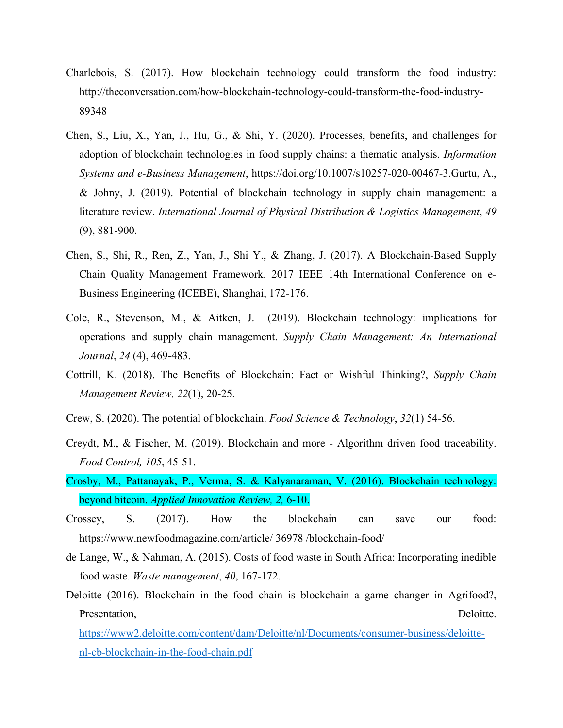- Charlebois, S. (2017). How blockchain technology could transform the food industry: [http://theconversation.com/how-blockchain-technology-could-transform-the-food-industry-](http://theconversation.com/how-blockchain-technology-could-transform-the-food-industry-89348)[89348](http://theconversation.com/how-blockchain-technology-could-transform-the-food-industry-89348)
- Chen, S., Liu, X., Yan, J., Hu, G., & Shi, Y. (2020). Processes, benefits, and challenges for adoption of blockchain technologies in food supply chains: a thematic analysis. *Information Systems and e-Business Management*, https://doi.org/10.1007/s10257-020-00467-3.Gurtu, A., & Johny, J. (2019). Potential of blockchain technology in supply chain management: a literature review. *International Journal of Physical Distribution & Logistics Management*, *49* (9), 881-900.
- Chen, S., Shi, R., Ren, Z., Yan, J., Shi Y., & Zhang, J. (2017). A Blockchain-Based Supply Chain Quality Management Framework. 2017 IEEE 14th International Conference on e-Business Engineering (ICEBE), Shanghai, 172-176.
- Cole, R., Stevenson, M., & Aitken, J. (2019). Blockchain technology: implications for operations and supply chain management. *Supply Chain Management: An International Journal*, *24* (4), 469-483.
- Cottrill, K. (2018). The Benefits of Blockchain: Fact or Wishful Thinking?, *Supply Chain Management Review, 22*(1), 20-25.
- Crew, S. (2020). The potential of blockchain. *Food Science & Technology*, *32*(1) 54-56.
- Creydt, M., & Fischer, M. (2019). Blockchain and more Algorithm driven food traceability. *Food Control, 105*, 45-51.
- Crosby, M., Pattanayak, P., Verma, S. & Kalyanaraman, V. (2016). Blockchain technology: beyond bitcoin. *Applied Innovation Review, 2,* 6-10.
- Crossey, S. (2017). How the blockchain can save our food: https://www.newfoodmagazine.com/article/ 36978 /blockchain-food/
- de Lange, W., & Nahman, A. (2015). Costs of food waste in South Africa: Incorporating inedible food waste. *Waste management*, *40*, 167-172.
- Deloitte (2016). Blockchain in the food chain is blockchain a game changer in Agrifood?, Presentation, Deloitte.

[https://www2.deloitte.com/content/dam/Deloitte/nl/Documents/consumer-business/deloitte](https://www2.deloitte.com/content/dam/Deloitte/nl/Documents/consumer-business/deloitte-nl-cb-blockchain-in-the-food-chain.pdf)[nl-cb-blockchain-in-the-food-chain.pdf](https://www2.deloitte.com/content/dam/Deloitte/nl/Documents/consumer-business/deloitte-nl-cb-blockchain-in-the-food-chain.pdf)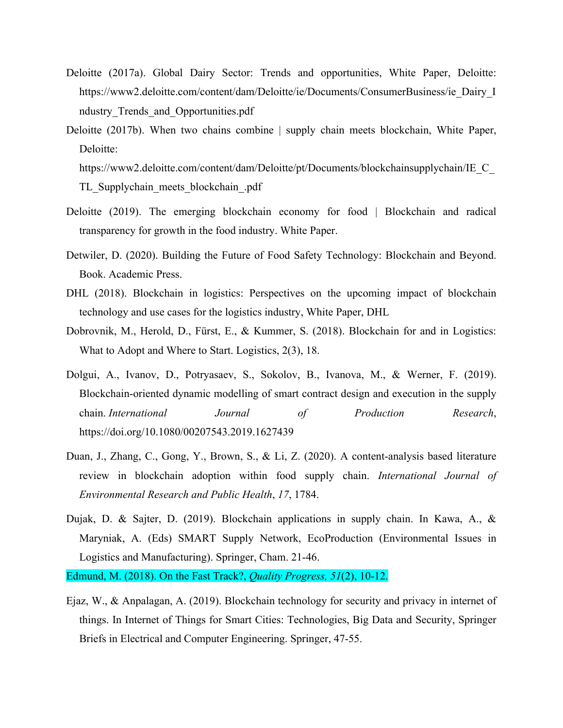- Deloitte (2017a). Global Dairy Sector: Trends and opportunities, White Paper, Deloitte: https://www2.deloitte.com/content/dam/Deloitte/ie/Documents/ConsumerBusiness/ie\_Dairy\_I ndustry\_Trends\_and\_Opportunities.pdf
- Deloitte (2017b). When two chains combine | supply chain meets blockchain, White Paper, Deloitte:

https://www2.deloitte.com/content/dam/Deloitte/pt/Documents/blockchainsupplychain/IE\_C\_ TL Supplychain meets blockchain .pdf

- Deloitte (2019). The emerging blockchain economy for food | Blockchain and radical transparency for growth in the food industry. White Paper.
- Detwiler, D. (2020). Building the Future of Food Safety Technology: Blockchain and Beyond. Book. Academic Press.
- DHL (2018). Blockchain in logistics: Perspectives on the upcoming impact of blockchain technology and use cases for the logistics industry, White Paper, DHL
- Dobrovnik, M., Herold, D., Fürst, E., & Kummer, S. (2018). Blockchain for and in Logistics: What to Adopt and Where to Start. Logistics, 2(3), 18.
- Dolgui, A., Ivanov, D., Potryasaev, S., Sokolov, B., Ivanova, M., & Werner, F. (2019). Blockchain-oriented dynamic modelling of smart contract design and execution in the supply chain. *International Journal of Production Research*, https://doi.org/10.1080/00207543.2019.1627439
- Duan, J., Zhang, C., Gong, Y., Brown, S., & Li, Z. (2020). A content‐analysis based literature review in blockchain adoption within food supply chain. *International Journal of Environmental Research and Public Health*, *17*, 1784.
- Dujak, D. & Sajter, D. (2019). Blockchain applications in supply chain. In Kawa, A., & Maryniak, A. (Eds) SMART Supply Network, EcoProduction (Environmental Issues in Logistics and Manufacturing). Springer, Cham. 21-46.

Edmund, M. (2018). On the Fast Track?, *Quality Progress, 51*(2), 10-12.

Ejaz, W., & Anpalagan, A. (2019). Blockchain technology for security and privacy in internet of things. In Internet of Things for Smart Cities: Technologies, Big Data and Security, Springer Briefs in Electrical and Computer Engineering. Springer, 47-55.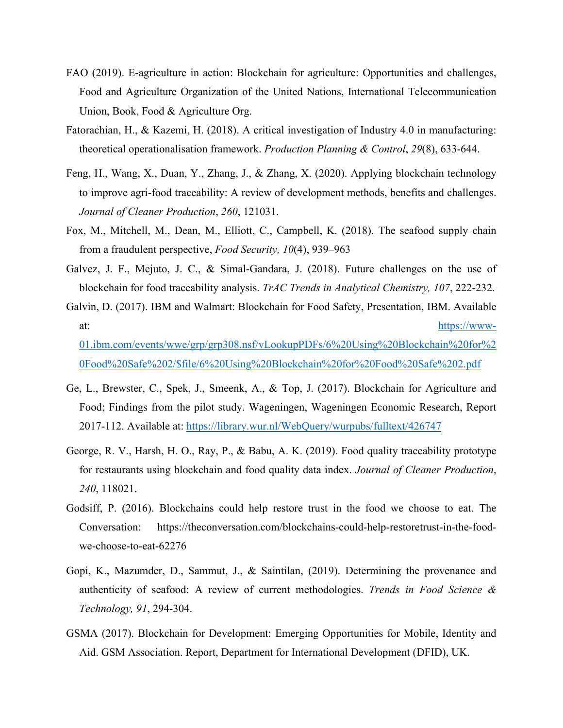- FAO (2019). E-agriculture in action: Blockchain for agriculture: Opportunities and challenges, Food and Agriculture Organization of the United Nations, International Telecommunication Union, Book, Food & Agriculture Org.
- Fatorachian, H., & Kazemi, H. (2018). A critical investigation of Industry 4.0 in manufacturing: theoretical operationalisation framework. *Production Planning & Control*, *29*(8), 633-644.
- Feng, H., Wang, X., Duan, Y., Zhang, J., & Zhang, X. (2020). Applying blockchain technology to improve agri-food traceability: A review of development methods, benefits and challenges. *Journal of Cleaner Production*, *260*, 121031.
- Fox, M., Mitchell, M., Dean, M., Elliott, C., Campbell, K. (2018). The seafood supply chain from a fraudulent perspective, *Food Security, 10*(4), 939–963
- Galvez, J. F., Mejuto, J. C., & Simal-Gandara, J. (2018). Future challenges on the use of blockchain for food traceability analysis. *TrAC Trends in Analytical Chemistry, 107*, 222-232.
- Galvin, D. (2017). IBM and Walmart: Blockchain for Food Safety, Presentation, IBM. Available at: [https://www-](https://www-01.ibm.com/events/wwe/grp/grp308.nsf/vLookupPDFs/6%20Using%20Blockchain%20for%20Food%20Safe%202/$file/6%20Using%20Blockchain%20for%20Food%20Safe%202.pdf)[01.ibm.com/events/wwe/grp/grp308.nsf/vLookupPDFs/6%20Using%20Blockchain%20for%2](https://www-01.ibm.com/events/wwe/grp/grp308.nsf/vLookupPDFs/6%20Using%20Blockchain%20for%20Food%20Safe%202/$file/6%20Using%20Blockchain%20for%20Food%20Safe%202.pdf)

[0Food%20Safe%202/\\$file/6%20Using%20Blockchain%20for%20Food%20Safe%202.pdf](https://www-01.ibm.com/events/wwe/grp/grp308.nsf/vLookupPDFs/6%20Using%20Blockchain%20for%20Food%20Safe%202/$file/6%20Using%20Blockchain%20for%20Food%20Safe%202.pdf)

- Ge, L., Brewster, C., Spek, J., Smeenk, A., & Top, J. (2017). Blockchain for Agriculture and Food; Findings from the pilot study. Wageningen, Wageningen Economic Research, Report 2017-112. Available at:<https://library.wur.nl/WebQuery/wurpubs/fulltext/426747>
- George, R. V., Harsh, H. O., Ray, P., & Babu, A. K. (2019). Food quality traceability prototype for restaurants using blockchain and food quality data index. *Journal of Cleaner Production*, *240*, 118021.
- Godsiff, P. (2016). Blockchains could help restore trust in the food we choose to eat. The Conversation: https://theconversation.com/blockchains-could-help-restoretrust-in-the-foodwe-choose-to-eat-62276
- Gopi, K., Mazumder, D., Sammut, J., & Saintilan, (2019). Determining the provenance and authenticity of seafood: A review of current methodologies. *Trends in Food Science & Technology, 91*, 294-304.
- GSMA (2017). Blockchain for Development: Emerging Opportunities for Mobile, Identity and Aid. GSM Association. Report, Department for International Development (DFID), UK.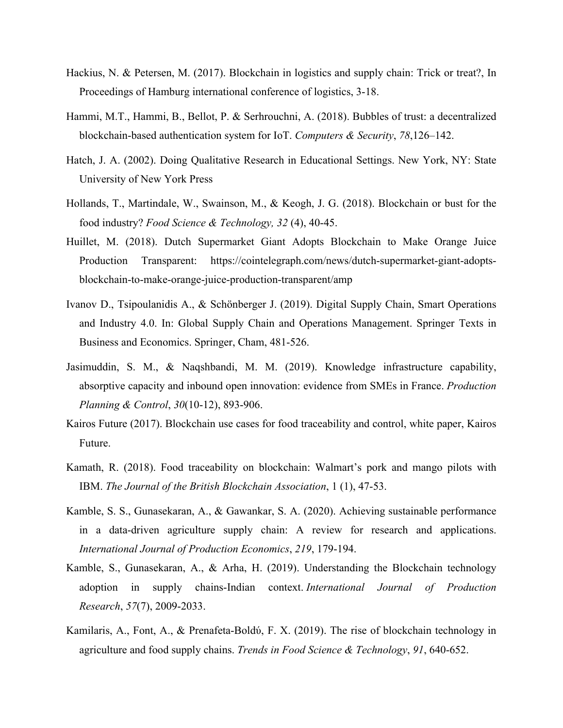- Hackius, N. & Petersen, M. (2017). Blockchain in logistics and supply chain: Trick or treat?, In Proceedings of Hamburg international conference of logistics, 3-18.
- Hammi, M.T., Hammi, B., Bellot, P. & Serhrouchni, A. (2018). Bubbles of trust: a decentralized blockchain-based authentication system for IoT. *Computers & Security*, *78*,126–142.
- Hatch, J. A. (2002). Doing Qualitative Research in Educational Settings. New York, NY: State University of New York Press
- Hollands, T., Martindale, W., Swainson, M., & Keogh, J. G. (2018). Blockchain or bust for the food industry? *Food Science & Technology, 32* (4), 40-45.
- Huillet, M. (2018). Dutch Supermarket Giant Adopts Blockchain to Make Orange Juice Production Transparent: https://cointelegraph.com/news/dutch-supermarket-giant-adoptsblockchain-to-make-orange-juice-production-transparent/amp
- Ivanov D., Tsipoulanidis A., & Schönberger J. (2019). Digital Supply Chain, Smart Operations and Industry 4.0. In: Global Supply Chain and Operations Management. Springer Texts in Business and Economics. Springer, Cham, 481-526.
- Jasimuddin, S. M., & Naqshbandi, M. M. (2019). Knowledge infrastructure capability, absorptive capacity and inbound open innovation: evidence from SMEs in France. *Production Planning & Control*, *30*(10-12), 893-906.
- Kairos Future (2017). Blockchain use cases for food traceability and control, white paper, Kairos Future.
- Kamath, R. (2018). Food traceability on blockchain: Walmart's pork and mango pilots with IBM. *The Journal of the British Blockchain Association*, 1 (1), 47-53.
- Kamble, S. S., Gunasekaran, A., & Gawankar, S. A. (2020). Achieving sustainable performance in a data-driven agriculture supply chain: A review for research and applications. *International Journal of Production Economics*, *219*, 179-194.
- Kamble, S., Gunasekaran, A., & Arha, H. (2019). Understanding the Blockchain technology adoption in supply chains-Indian context. *International Journal of Production Research*, *57*(7), 2009-2033.
- Kamilaris, A., Font, A., & Prenafeta-Boldύ, F. X. (2019). The rise of blockchain technology in agriculture and food supply chains. *Trends in Food Science & Technology*, *91*, 640-652.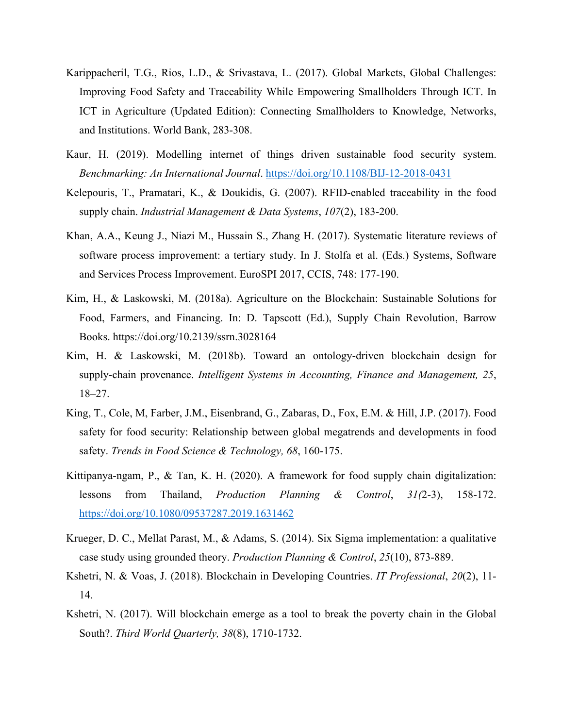- Karippacheril, T.G., Rios, L.D., & Srivastava, L. (2017). Global Markets, Global Challenges: Improving Food Safety and Traceability While Empowering Smallholders Through ICT. In ICT in Agriculture (Updated Edition): Connecting Smallholders to Knowledge, Networks, and Institutions. World Bank, 283-308.
- Kaur, H. (2019). Modelling internet of things driven sustainable food security system. *Benchmarking: An International Journal*.<https://doi.org/10.1108/BIJ-12-2018-0431>
- Kelepouris, T., Pramatari, K., & Doukidis, G. (2007). RFID-enabled traceability in the food supply chain. *Industrial Management & Data Systems*, *107*(2), 183-200.
- Khan, A.A., Keung J., Niazi M., Hussain S., Zhang H. (2017). Systematic literature reviews of software process improvement: a tertiary study. In J. Stolfa et al. (Eds.) Systems, Software and Services Process Improvement. EuroSPI 2017, CCIS, 748: 177-190.
- Kim, H., & Laskowski, M. (2018a). Agriculture on the Blockchain: Sustainable Solutions for Food, Farmers, and Financing. In: D. Tapscott (Ed.), Supply Chain Revolution, Barrow Books. https://doi.org/10.2139/ssrn.3028164
- Kim, H. & Laskowski, M. (2018b). Toward an ontology‐driven blockchain design for supply‐chain provenance. *Intelligent Systems in Accounting, Finance and Management, 25*, 18–27.
- King, T., Cole, M, Farber, J.M., Eisenbrand, G., Zabaras, D., Fox, E.M. & Hill, J.P. (2017). Food safety for food security: Relationship between global megatrends and developments in food safety. *Trends in Food Science & Technology, 68*, 160-175.
- Kittipanya-ngam, P., & Tan, K. H. (2020). A framework for food supply chain digitalization: lessons from Thailand, *Production Planning & Control*, *31(*2-3), 158-172. <https://doi.org/10.1080/09537287.2019.1631462>
- Krueger, D. C., Mellat Parast, M., & Adams, S. (2014). Six Sigma implementation: a qualitative case study using grounded theory. *Production Planning & Control*, *25*(10), 873-889.
- Kshetri, N. & Voas, J. (2018). Blockchain in Developing Countries. *IT Professional*, *20*(2), 11- 14.
- Kshetri, N. (2017). Will blockchain emerge as a tool to break the poverty chain in the Global South?. *Third World Quarterly, 38*(8), 1710-1732.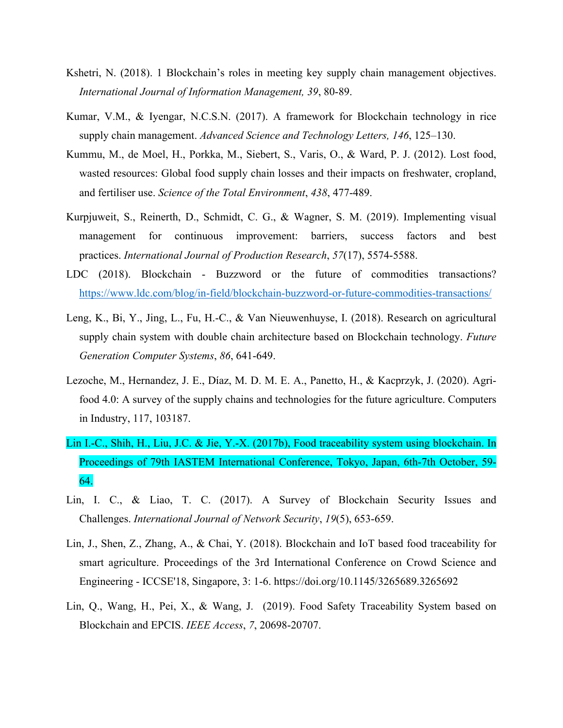- Kshetri, N. (2018). 1 Blockchain's roles in meeting key supply chain management objectives. *International Journal of Information Management, 39*, 80-89.
- Kumar, V.M., & Iyengar, N.C.S.N. (2017). A framework for Blockchain technology in rice supply chain management. *Advanced Science and Technology Letters, 146*, 125–130.
- Kummu, M., de Moel, H., Porkka, M., Siebert, S., Varis, O., & Ward, P. J. (2012). Lost food, wasted resources: Global food supply chain losses and their impacts on freshwater, cropland, and fertiliser use. *Science of the Total Environment*, *438*, 477-489.
- Kurpjuweit, S., Reinerth, D., Schmidt, C. G., & Wagner, S. M. (2019). Implementing visual management for continuous improvement: barriers, success factors and best practices. *International Journal of Production Research*, *57*(17), 5574-5588.
- LDC (2018). Blockchain Buzzword or the future of commodities transactions? <https://www.ldc.com/blog/in-field/blockchain-buzzword-or-future-commodities-transactions/>
- Leng, K., Bi, Y., Jing, L., Fu, H.-C., & Van Nieuwenhuyse, I. (2018). Research on agricultural supply chain system with double chain architecture based on Blockchain technology. *Future Generation Computer Systems*, *86*, 641-649.
- Lezoche, M., Hernandez, J. E., Díaz, M. D. M. E. A., Panetto, H., & Kacprzyk, J. (2020). Agrifood 4.0: A survey of the supply chains and technologies for the future agriculture. Computers in Industry, 117, 103187.
- Lin I.-C., Shih, H., Liu, J.C. & Jie, Y.-X. (2017b), Food traceability system using blockchain. In Proceedings of 79th IASTEM International Conference, Tokyo, Japan, 6th-7th October, 59- 64.
- Lin, I. C., & Liao, T. C. (2017). A Survey of Blockchain Security Issues and Challenges. *International Journal of Network Security*, *19*(5), 653-659.
- Lin, J., Shen, Z., Zhang, A., & Chai, Y. (2018). Blockchain and IoT based food traceability for smart agriculture. Proceedings of the 3rd International Conference on Crowd Science and Engineering - ICCSE'18, Singapore, 3: 1-6. https://doi.org/10.1145/3265689.3265692
- Lin, Q., Wang, H., Pei, X., & Wang, J. (2019). Food Safety Traceability System based on Blockchain and EPCIS. *IEEE Access*, *7*, 20698-20707.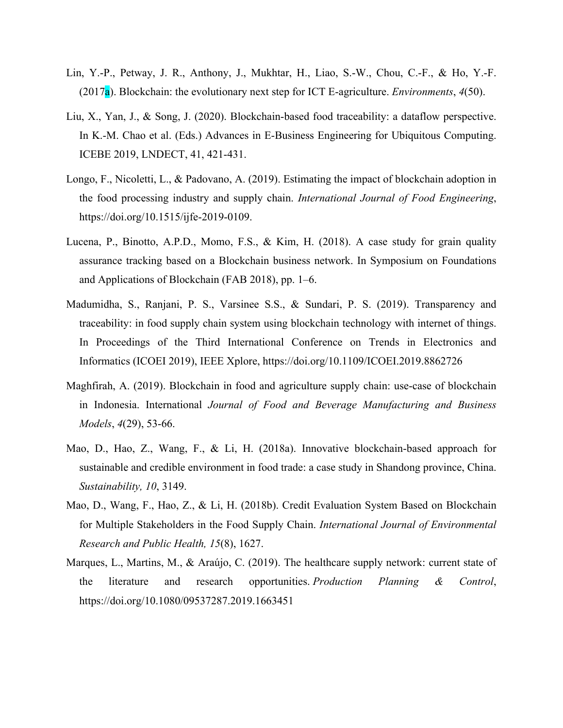- Lin, Y.-P., Petway, J. R., Anthony, J., Mukhtar, H., Liao, S.-W., Chou, C.-F., & Ho, Y.-F. (2017a). Blockchain: the evolutionary next step for ICT E-agriculture. *Environments*, *4*(50).
- Liu, X., Yan, J., & Song, J. (2020). Blockchain-based food traceability: a dataflow perspective. In K.-M. Chao et al. (Eds.) Advances in E-Business Engineering for Ubiquitous Computing. ICEBE 2019, LNDECT, 41, 421-431.
- Longo, F., Nicoletti, L., & Padovano, A. (2019). Estimating the impact of blockchain adoption in the food processing industry and supply chain. *International Journal of Food Engineering*, https://doi.org/10.1515/ijfe-2019-0109.
- Lucena, P., Binotto, A.P.D., Momo, F.S., & Kim, H. (2018). A case study for grain quality assurance tracking based on a Blockchain business network. In Symposium on Foundations and Applications of Blockchain (FAB 2018), pp. 1–6.
- Madumidha, S., Ranjani, P. S., Varsinee S.S., & Sundari, P. S. (2019). Transparency and traceability: in food supply chain system using blockchain technology with internet of things. In Proceedings of the Third International Conference on Trends in Electronics and Informatics (ICOEI 2019), IEEE Xplore, https://doi.org/10.1109/ICOEI.2019.8862726
- Maghfirah, A. (2019). Blockchain in food and agriculture supply chain: use-case of blockchain in Indonesia. International *Journal of Food and Beverage Manufacturing and Business Models*, *4*(29), 53-66.
- Mao, D., Hao, Z., Wang, F., & Li, H. (2018a). Innovative blockchain-based approach for sustainable and credible environment in food trade: a case study in Shandong province, China. *Sustainability, 10*, 3149.
- Mao, D., Wang, F., Hao, Z., & Li, H. (2018b). Credit Evaluation System Based on Blockchain for Multiple Stakeholders in the Food Supply Chain. *International Journal of Environmental Research and Public Health, 15*(8), 1627.
- Marques, L., Martins, M., & Araújo, C. (2019). The healthcare supply network: current state of the literature and research opportunities. *Production Planning & Control*, https://doi.org/10.1080/09537287.2019.1663451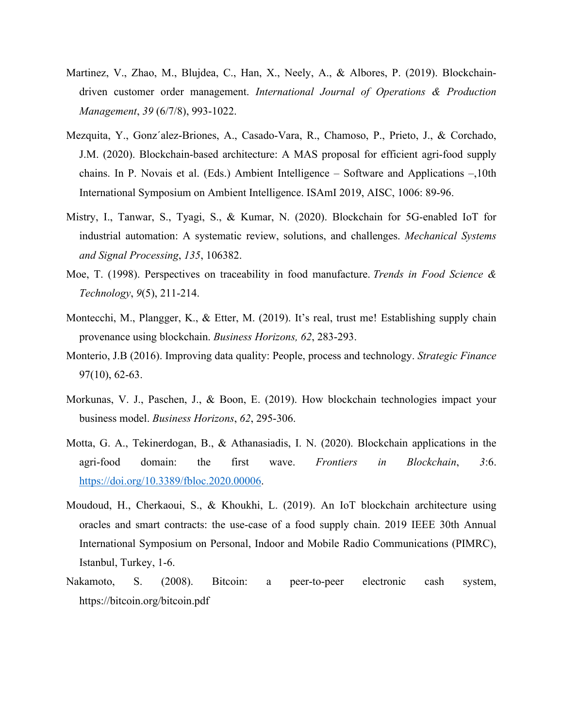- Martinez, V., Zhao, M., Blujdea, C., Han, X., Neely, A., & Albores, P. (2019). Blockchaindriven customer order management. *International Journal of Operations & Production Management*, *39* (6/7/8), 993-1022.
- Mezquita, Y., Gonz´alez-Briones, A., Casado-Vara, R., Chamoso, P., Prieto, J., & Corchado, J.M. (2020). Blockchain-based architecture: A MAS proposal for efficient agri-food supply chains. In P. Novais et al. (Eds.) Ambient Intelligence – Software and Applications –,10th International Symposium on Ambient Intelligence. ISAmI 2019, AISC, 1006: 89-96.
- Mistry, I., Tanwar, S., Tyagi, S., & Kumar, N. (2020). Blockchain for 5G-enabled IoT for industrial automation: A systematic review, solutions, and challenges. *Mechanical Systems and Signal Processing*, *135*, 106382.
- Moe, T. (1998). Perspectives on traceability in food manufacture. *Trends in Food Science & Technology*, *9*(5), 211-214.
- Montecchi, M., Plangger, K., & Etter, M. (2019). It's real, trust me! Establishing supply chain provenance using blockchain. *Business Horizons, 62*, 283-293.
- Monterio, J.B (2016). Improving data quality: People, process and technology. *Strategic Finance* 97(10), 62-63.
- Morkunas, V. J., Paschen, J., & Boon, E. (2019). How blockchain technologies impact your business model. *Business Horizons*, *62*, 295-306.
- Motta, G. A., Tekinerdogan, B., & Athanasiadis, I. N. (2020). Blockchain applications in the agri-food domain: the first wave. *Frontiers in Blockchain*, *3*:6. [https://doi.org/10.3389/fbloc.2020.00006.](https://doi.org/10.3389/fbloc.2020.00006)
- Moudoud, H., Cherkaoui, S., & Khoukhi, L. (2019). An IoT blockchain architecture using oracles and smart contracts: the use-case of a food supply chain. 2019 IEEE 30th Annual International Symposium on Personal, Indoor and Mobile Radio Communications (PIMRC), Istanbul, Turkey, 1-6.
- Nakamoto, S. (2008). Bitcoin: a peer-to-peer electronic cash system, https://bitcoin.org/bitcoin.pdf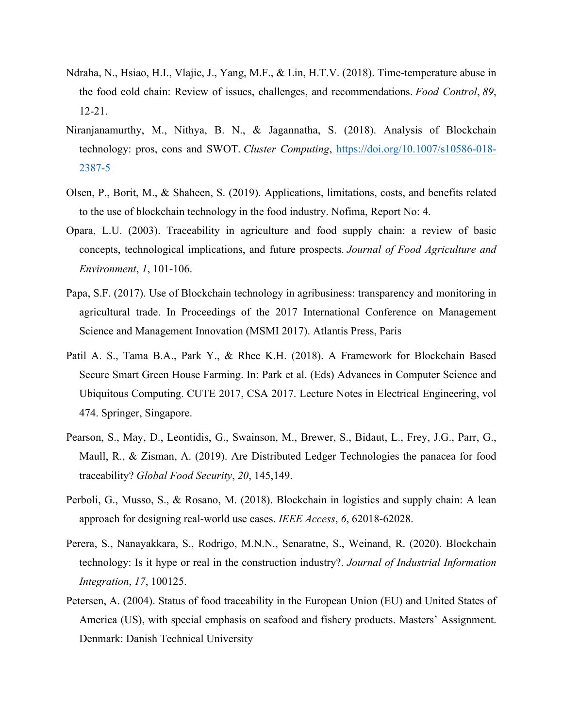- Ndraha, N., Hsiao, H.I., Vlajic, J., Yang, M.F., & Lin, H.T.V. (2018). Time-temperature abuse in the food cold chain: Review of issues, challenges, and recommendations. *Food Control*, *89*, 12-21.
- Niranjanamurthy, M., Nithya, B. N., & Jagannatha, S. (2018). Analysis of Blockchain technology: pros, cons and SWOT. *Cluster Computing*, [https://doi.org/10.1007/s10586-018-](https://doi.org/10.1007/s10586-018-2387-5) [2387-5](https://doi.org/10.1007/s10586-018-2387-5)
- Olsen, P., Borit, M., & Shaheen, S. (2019). Applications, limitations, costs, and benefits related to the use of blockchain technology in the food industry. Nofima, Report No: 4.
- Opara, L.U. (2003). Traceability in agriculture and food supply chain: a review of basic concepts, technological implications, and future prospects. *Journal of Food Agriculture and Environment*, *1*, 101-106.
- Papa, S.F. (2017). Use of Blockchain technology in agribusiness: transparency and monitoring in agricultural trade. In Proceedings of the 2017 International Conference on Management Science and Management Innovation (MSMI 2017). Atlantis Press, Paris
- Patil A. S., Tama B.A., Park Y., & Rhee K.H. (2018). A Framework for Blockchain Based Secure Smart Green House Farming. In: Park et al. (Eds) Advances in Computer Science and Ubiquitous Computing. CUTE 2017, CSA 2017. Lecture Notes in Electrical Engineering, vol 474. Springer, Singapore.
- Pearson, S., May, D., Leontidis, G., Swainson, M., Brewer, S., Bidaut, L., Frey, J.G., Parr, G., Maull, R., & Zisman, A. (2019). Are Distributed Ledger Technologies the panacea for food traceability? *Global Food Security*, *20*, 145,149.
- Perboli, G., Musso, S., & Rosano, M. (2018). Blockchain in logistics and supply chain: A lean approach for designing real-world use cases. *IEEE Access*, *6*, 62018-62028.
- Perera, S., Nanayakkara, S., Rodrigo, M.N.N., Senaratne, S., Weinand, R. (2020). Blockchain technology: Is it hype or real in the construction industry?. *Journal of Industrial Information Integration*, *17*, 100125.
- Petersen, A. (2004). Status of food traceability in the European Union (EU) and United States of America (US), with special emphasis on seafood and fishery products. Masters' Assignment. Denmark: Danish Technical University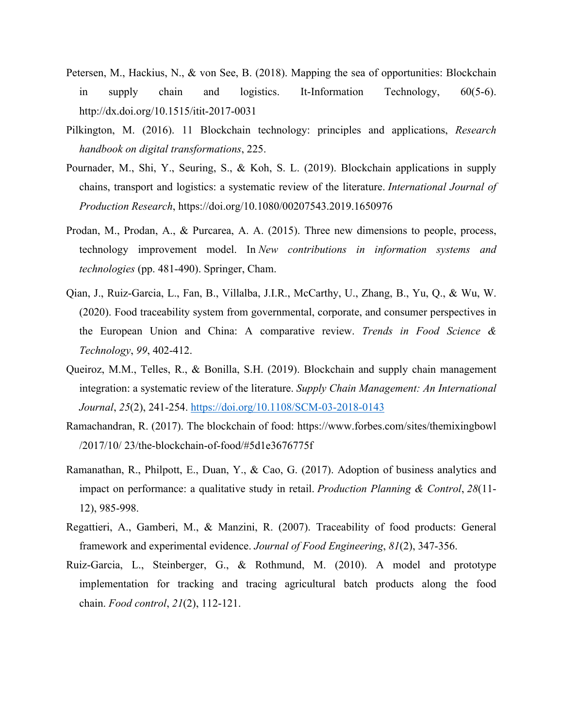- Petersen, M., Hackius, N., & von See, B. (2018). Mapping the sea of opportunities: Blockchain in supply chain and logistics. It-Information Technology, 60(5-6). http://dx.doi.org/10.1515/itit-2017-0031
- Pilkington, M. (2016). 11 Blockchain technology: principles and applications, *Research handbook on digital transformations*, 225.
- Pournader, M., Shi, Y., Seuring, S., & Koh, S. L. (2019). Blockchain applications in supply chains, transport and logistics: a systematic review of the literature. *International Journal of Production Research*, https://doi.org/10.1080/00207543.2019.1650976
- Prodan, M., Prodan, A., & Purcarea, A. A. (2015). Three new dimensions to people, process, technology improvement model. In *New contributions in information systems and technologies* (pp. 481-490). Springer, Cham.
- Qian, J., Ruiz-Garcia, L., Fan, B., Villalba, J.I.R., McCarthy, U., Zhang, B., Yu, Q., & Wu, W. (2020). Food traceability system from governmental, corporate, and consumer perspectives in the European Union and China: A comparative review. *Trends in Food Science & Technology*, *99*, 402-412.
- Queiroz, M.M., Telles, R., & Bonilla, S.H. (2019). Blockchain and supply chain management integration: a systematic review of the literature. *Supply Chain Management: An International Journal*, *25*(2), 241-254.<https://doi.org/10.1108/SCM-03-2018-0143>
- Ramachandran, R. (2017). The blockchain of food: https://www.forbes.com/sites/themixingbowl /2017/10/ 23/the-blockchain-of-food/#5d1e3676775f
- Ramanathan, R., Philpott, E., Duan, Y., & Cao, G. (2017). Adoption of business analytics and impact on performance: a qualitative study in retail. *Production Planning & Control*, *28*(11- 12), 985-998.
- Regattieri, A., Gamberi, M., & Manzini, R. (2007). Traceability of food products: General framework and experimental evidence. *Journal of Food Engineering*, *81*(2), 347-356.
- Ruiz-Garcia, L., Steinberger, G., & Rothmund, M. (2010). A model and prototype implementation for tracking and tracing agricultural batch products along the food chain. *Food control*, *21*(2), 112-121.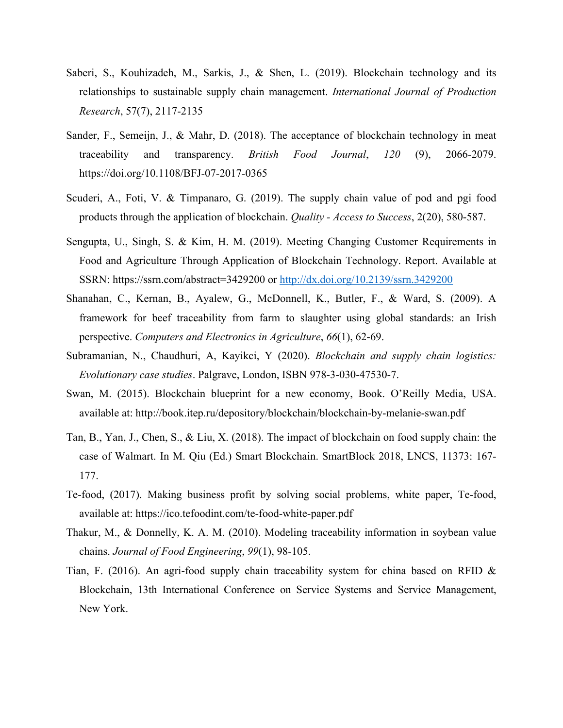- Saberi, S., Kouhizadeh, M., Sarkis, J., & Shen, L. (2019). Blockchain technology and its relationships to sustainable supply chain management. *International Journal of Production Research*, 57(7), 2117-2135
- Sander, F., Semeijn, J., & Mahr, D. (2018). The acceptance of blockchain technology in meat traceability and transparency. *British Food Journal*, *120* (9), 2066-2079. https://doi.org/10.1108/BFJ-07-2017-0365
- Scuderi, A., Foti, V. & Timpanaro, G. (2019). The supply chain value of pod and pgi food products through the application of blockchain. *Quality - Access to Success*, 2(20), 580-587.
- Sengupta, U., Singh, S. & Kim, H. M. (2019). Meeting Changing Customer Requirements in Food and Agriculture Through Application of Blockchain Technology. Report. Available at SSRN: https://ssrn.com/abstract=3429200 or<http://dx.doi.org/10.2139/ssrn.3429200>
- Shanahan, C., Kernan, B., Ayalew, G., McDonnell, K., Butler, F., & Ward, S. (2009). A framework for beef traceability from farm to slaughter using global standards: an Irish perspective. *Computers and Electronics in Agriculture*, *66*(1), 62-69.
- Subramanian, N., Chaudhuri, A, Kayikci, Y (2020). *Blockchain and supply chain logistics: Evolutionary case studies*. Palgrave, London, ISBN 978-3-030-47530-7.
- Swan, M. (2015). Blockchain blueprint for a new economy, Book. O'Reilly Media, USA. available at: http://book.itep.ru/depository/blockchain/blockchain-by-melanie-swan.pdf
- Tan, B., Yan, J., Chen, S., & Liu, X. (2018). The impact of blockchain on food supply chain: the case of Walmart. In M. Qiu (Ed.) Smart Blockchain. SmartBlock 2018, LNCS, 11373: 167- 177.
- Te-food, (2017). Making business profit by solving social problems, white paper, Te-food, available at: https://ico.tefoodint.com/te-food-white-paper.pdf
- Thakur, M., & Donnelly, K. A. M. (2010). Modeling traceability information in soybean value chains. *Journal of Food Engineering*, *99*(1), 98-105.
- Tian, F. (2016). An agri-food supply chain traceability system for china based on RFID  $\&$ Blockchain, 13th International Conference on Service Systems and Service Management, New York.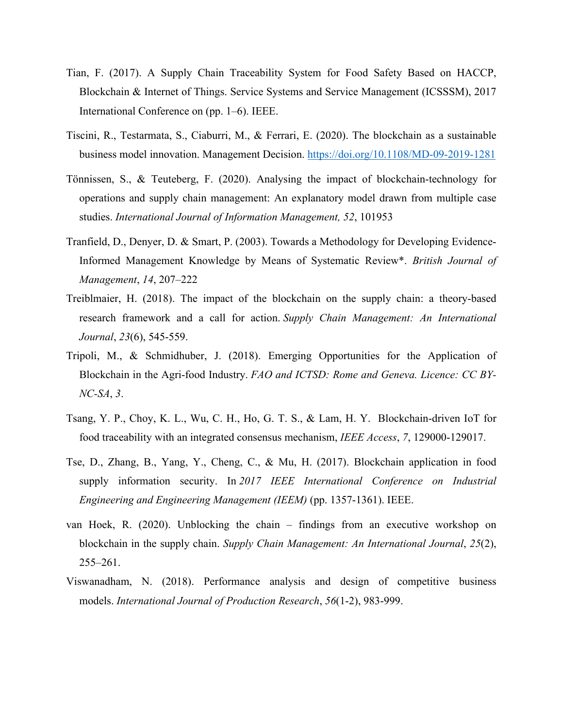- Tian, F. (2017). A Supply Chain Traceability System for Food Safety Based on HACCP, Blockchain & Internet of Things. Service Systems and Service Management (ICSSSM), 2017 International Conference on (pp. 1–6). IEEE.
- Tiscini, R., Testarmata, S., Ciaburri, M., & Ferrari, E. (2020). The blockchain as a sustainable business model innovation. Management Decision.<https://doi.org/10.1108/MD-09-2019-1281>
- Tönnissen, S., & Teuteberg, F. (2020). Analysing the impact of blockchain-technology for operations and supply chain management: An explanatory model drawn from multiple case studies. *International Journal of Information Management, 52*, 101953
- Tranfield, D., Denyer, D. & Smart, P. (2003). Towards a Methodology for Developing Evidence-Informed Management Knowledge by Means of Systematic Review\*. *British Journal of Management*, *14*, 207–222
- Treiblmaier, H. (2018). The impact of the blockchain on the supply chain: a theory-based research framework and a call for action. *Supply Chain Management: An International Journal*, *23*(6), 545-559.
- Tripoli, M., & Schmidhuber, J. (2018). Emerging Opportunities for the Application of Blockchain in the Agri-food Industry. *FAO and ICTSD: Rome and Geneva. Licence: CC BY-NC-SA*, *3*.
- Tsang, Y. P., Choy, K. L., Wu, C. H., Ho, G. T. S., & Lam, H. Y. Blockchain-driven IoT for food traceability with an integrated consensus mechanism, *IEEE Access*, *7*, 129000-129017.
- Tse, D., Zhang, B., Yang, Y., Cheng, C., & Mu, H. (2017). Blockchain application in food supply information security. In *2017 IEEE International Conference on Industrial Engineering and Engineering Management (IEEM)* (pp. 1357-1361). IEEE.
- van Hoek, R. (2020). Unblocking the chain findings from an executive workshop on blockchain in the supply chain. *Supply Chain Management: An International Journal*, *25*(2), 255–261.
- Viswanadham, N. (2018). Performance analysis and design of competitive business models. *International Journal of Production Research*, *56*(1-2), 983-999.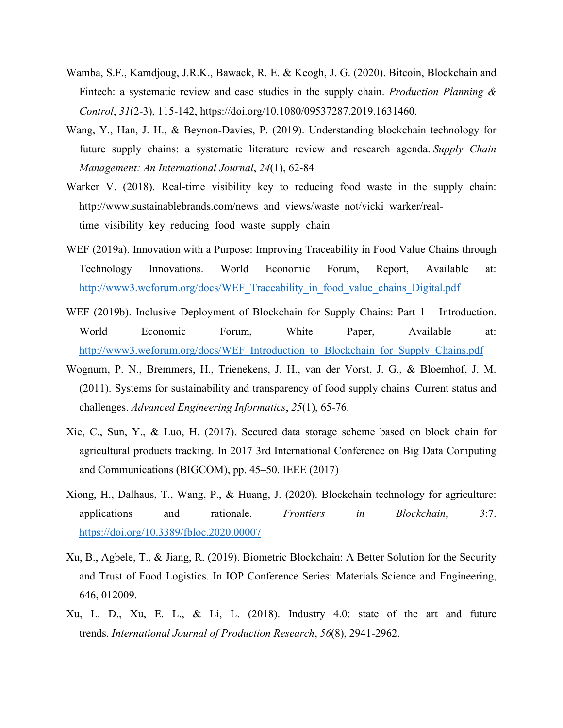- Wamba, S.F., Kamdjoug, J.R.K., Bawack, R. E. & Keogh, J. G. (2020). Bitcoin, Blockchain and Fintech: a systematic review and case studies in the supply chain. *Production Planning & Control*, *31*(2-3), 115-142, https://doi.org/10.1080/09537287.2019.1631460.
- Wang, Y., Han, J. H., & Beynon-Davies, P. (2019). Understanding blockchain technology for future supply chains: a systematic literature review and research agenda. *Supply Chain Management: An International Journal*, *24*(1), 62-84
- Warker V. (2018). Real-time visibility key to reducing food waste in the supply chain: http://www.sustainablebrands.com/news\_and\_views/waste\_not/vicki\_warker/realtime visibility key reducing food waste supply chain
- WEF (2019a). Innovation with a Purpose: Improving Traceability in Food Value Chains through Technology Innovations. World Economic Forum, Report, Available at: http://www3.weforum.org/docs/WEF Traceability in food value chains Digital.pdf
- WEF (2019b). Inclusive Deployment of Blockchain for Supply Chains: Part 1 Introduction. World Economic Forum, White Paper, Available at: [http://www3.weforum.org/docs/WEF\\_Introduction\\_to\\_Blockchain\\_for\\_Supply\\_Chains.pdf](http://www3.weforum.org/docs/WEF_Introduction_to_Blockchain_for_Supply_Chains.pdf)
- Wognum, P. N., Bremmers, H., Trienekens, J. H., van der Vorst, J. G., & Bloemhof, J. M. (2011). Systems for sustainability and transparency of food supply chains–Current status and challenges. *Advanced Engineering Informatics*, *25*(1), 65-76.
- Xie, C., Sun, Y., & Luo, H. (2017). Secured data storage scheme based on block chain for agricultural products tracking. In 2017 3rd International Conference on Big Data Computing and Communications (BIGCOM), pp. 45–50. IEEE (2017)
- Xiong, H., Dalhaus, T., Wang, P., & Huang, J. (2020). Blockchain technology for agriculture: applications and rationale. *Frontiers in Blockchain*, *3*:7. <https://doi.org/10.3389/fbloc.2020.00007>
- Xu, B., Agbele, T., & Jiang, R. (2019). Biometric Blockchain: A Better Solution for the Security and Trust of Food Logistics. In IOP Conference Series: Materials Science and Engineering, 646, 012009.
- Xu, L. D., Xu, E. L., & Li, L. (2018). Industry 4.0: state of the art and future trends. *International Journal of Production Research*, *56*(8), 2941-2962.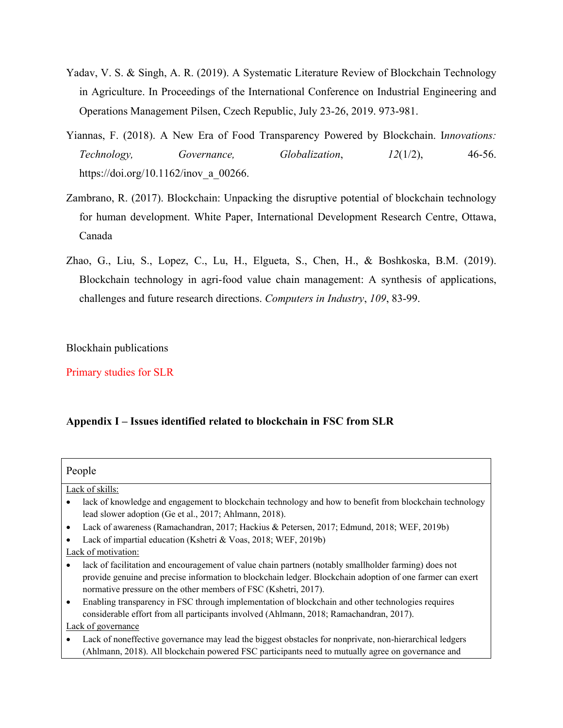- Yadav, V. S. & Singh, A. R. (2019). A Systematic Literature Review of Blockchain Technology in Agriculture. In Proceedings of the International Conference on Industrial Engineering and Operations Management Pilsen, Czech Republic, July 23-26, 2019. 973-981.
- Yiannas, F. (2018). A New Era of Food Transparency Powered by Blockchain. I*nnovations: Technology, Governance, Globalization*, *12*(1/2), 46-56. https://doi.org/10.1162/inov\_a\_00266.
- Zambrano, R. (2017). Blockchain: Unpacking the disruptive potential of blockchain technology for human development. White Paper, International Development Research Centre, Ottawa, Canada
- Zhao, G., Liu, S., Lopez, C., Lu, H., Elgueta, S., Chen, H., & Boshkoska, B.M. (2019). Blockchain technology in agri-food value chain management: A synthesis of applications, challenges and future research directions. *Computers in Industry*, *109*, 83-99.

Blockhain publications

Primary studies for SLR

### **Appendix I – Issues identified related to blockchain in FSC from SLR**

| People                                                                                                    |  |  |  |  |  |
|-----------------------------------------------------------------------------------------------------------|--|--|--|--|--|
| Lack of skills:                                                                                           |  |  |  |  |  |
| lack of knowledge and engagement to blockchain technology and how to benefit from blockchain technology   |  |  |  |  |  |
| lead slower adoption (Ge et al., 2017; Ahlmann, 2018).                                                    |  |  |  |  |  |
| Lack of awareness (Ramachandran, 2017; Hackius & Petersen, 2017; Edmund, 2018; WEF, 2019b)                |  |  |  |  |  |
| Lack of impartial education (Kshetri & Voas, 2018; WEF, 2019b)                                            |  |  |  |  |  |
| Lack of motivation:                                                                                       |  |  |  |  |  |
| lack of facilitation and encouragement of value chain partners (notably smallholder farming) does not     |  |  |  |  |  |
| provide genuine and precise information to blockchain ledger. Blockchain adoption of one farmer can exert |  |  |  |  |  |
| normative pressure on the other members of FSC (Kshetri, 2017).                                           |  |  |  |  |  |
| Enabling transparency in FSC through implementation of blockchain and other technologies requires         |  |  |  |  |  |
| considerable effort from all participants involved (Ahlmann, 2018; Ramachandran, 2017).                   |  |  |  |  |  |
| Lack of governance                                                                                        |  |  |  |  |  |
| Lack of noneffective governance may lead the biggest obstacles for nonprivate, non-hierarchical ledgers   |  |  |  |  |  |
| (Ahlmann, 2018). All blockchain powered FSC participants need to mutually agree on governance and         |  |  |  |  |  |
|                                                                                                           |  |  |  |  |  |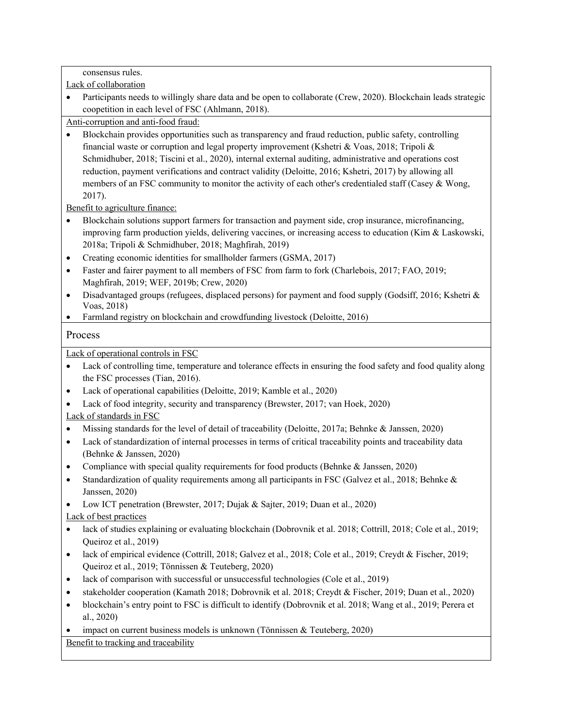consensus rules.

Lack of collaboration

• Participants needs to willingly share data and be open to collaborate (Crew, 2020). Blockchain leads strategic coopetition in each level of FSC (Ahlmann, 2018).

Anti-corruption and anti-food fraud:

• Blockchain provides opportunities such as transparency and fraud reduction, public safety, controlling financial waste or corruption and legal property improvement (Kshetri & Voas, 2018; Tripoli & Schmidhuber, 2018; Tiscini et al., 2020), internal external auditing, administrative and operations cost reduction, payment verifications and contract validity (Deloitte, 2016; Kshetri, 2017) by allowing all members of an FSC community to monitor the activity of each other's credentialed staff (Casey & Wong, 2017).

Benefit to agriculture finance:

- Blockchain solutions support farmers for transaction and payment side, crop insurance, microfinancing, improving farm production yields, delivering vaccines, or increasing access to education (Kim & Laskowski, 2018a; Tripoli & Schmidhuber, 2018; Maghfirah, 2019)
- Creating economic identities for smallholder farmers (GSMA, 2017)
- Faster and fairer payment to all members of FSC from farm to fork (Charlebois, 2017; FAO, 2019; Maghfirah, 2019; WEF, 2019b; Crew, 2020)
- Disadvantaged groups (refugees, displaced persons) for payment and food supply (Godsiff, 2016; Kshetri & Voas, 2018)
- Farmland registry on blockchain and crowdfunding livestock (Deloitte, 2016)

### Process

Lack of operational controls in FSC

- Lack of controlling time, temperature and tolerance effects in ensuring the food safety and food quality along the FSC processes (Tian, 2016).
- Lack of operational capabilities (Deloitte, 2019; Kamble et al., 2020)
- Lack of food integrity, security and transparency (Brewster, 2017; van Hoek, 2020)

Lack of standards in FSC

- Missing standards for the level of detail of traceability (Deloitte, 2017a; Behnke & Janssen, 2020)
- Lack of standardization of internal processes in terms of critical traceability points and traceability data (Behnke & Janssen, 2020)
- Compliance with special quality requirements for food products (Behnke & Janssen, 2020)
- Standardization of quality requirements among all participants in FSC (Galvez et al., 2018; Behnke & Janssen, 2020)
- Low ICT penetration (Brewster, 2017; Dujak & Sajter, 2019; Duan et al., 2020)

### Lack of best practices

- lack of studies explaining or evaluating blockchain (Dobrovnik et al. 2018; Cottrill, 2018; Cole et al., 2019; Queiroz et al., 2019)
- lack of empirical evidence (Cottrill, 2018; Galvez et al., 2018; Cole et al., 2019; Creydt & Fischer, 2019; Queiroz et al., 2019; Tönnissen & Teuteberg, 2020)
- lack of comparison with successful or unsuccessful technologies (Cole et al., 2019)
- stakeholder cooperation (Kamath 2018; Dobrovnik et al. 2018; Creydt & Fischer, 2019; Duan et al., 2020)
- blockchain's entry point to FSC is difficult to identify (Dobrovnik et al. 2018; Wang et al., 2019; Perera et al., 2020)
- impact on current business models is unknown (Tönnissen & Teuteberg, 2020)

Benefit to tracking and traceability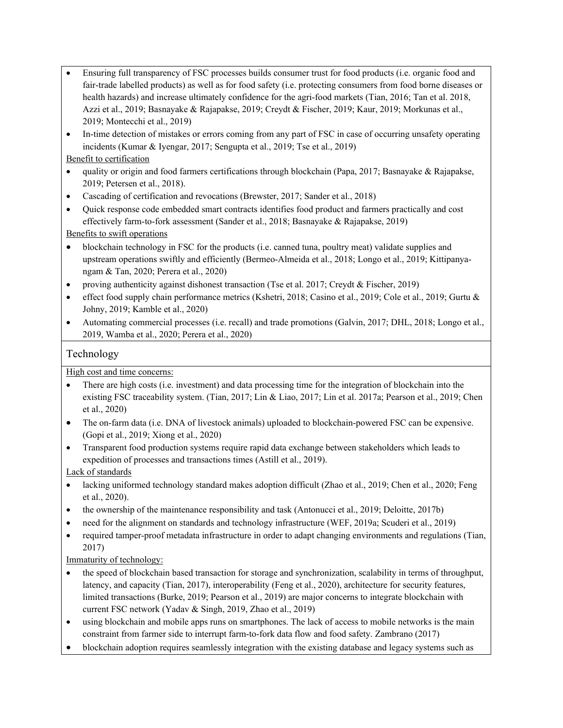- Ensuring full transparency of FSC processes builds consumer trust for food products (i.e. organic food and fair-trade labelled products) as well as for food safety (i.e. protecting consumers from food borne diseases or health hazards) and increase ultimately confidence for the agri-food markets (Tian, 2016; Tan et al. 2018, Azzi et al., 2019; Basnayake & Rajapakse, 2019; Creydt & Fischer, 2019; Kaur, 2019; Morkunas et al., 2019; Montecchi et al., 2019)
- In-time detection of mistakes or errors coming from any part of FSC in case of occurring unsafety operating incidents (Kumar & Iyengar, 2017; Sengupta et al., 2019; Tse et al., 2019)
- Benefit to certification
- quality or origin and food farmers certifications through blockchain (Papa, 2017; Basnayake & Rajapakse, 2019; Petersen et al., 2018).
- Cascading of certification and revocations (Brewster, 2017; Sander et al., 2018)
- Quick response code embedded smart contracts identifies food product and farmers practically and cost effectively farm-to-fork assessment (Sander et al., 2018; Basnayake & Rajapakse, 2019) Benefits to swift operations
- blockchain technology in FSC for the products (i.e. canned tuna, poultry meat) validate supplies and upstream operations swiftly and efficiently (Bermeo-Almeida et al., 2018; Longo et al., 2019; Kittipanyangam & Tan, 2020; Perera et al., 2020)
- proving authenticity against dishonest transaction (Tse et al. 2017; Creydt & Fischer, 2019)
- effect food supply chain performance metrics (Kshetri, 2018; Casino et al., 2019; Cole et al., 2019; Gurtu & Johny, 2019; Kamble et al., 2020)
- Automating commercial processes (i.e. recall) and trade promotions (Galvin, 2017; DHL, 2018; Longo et al., 2019, Wamba et al., 2020; Perera et al., 2020)

### Technology

High cost and time concerns:

- There are high costs (i.e. investment) and data processing time for the integration of blockchain into the existing FSC traceability system. (Tian, 2017; Lin & Liao, 2017; Lin et al. 2017a; Pearson et al., 2019; Chen et al., 2020)
- The on-farm data (i.e. DNA of livestock animals) uploaded to blockchain-powered FSC can be expensive. (Gopi et al., 2019; Xiong et al., 2020)
- Transparent food production systems require rapid data exchange between stakeholders which leads to expedition of processes and transactions times (Astill et al., 2019).

Lack of standards

- lacking uniformed technology standard makes adoption difficult (Zhao et al., 2019; Chen et al., 2020; Feng et al., 2020).
- the ownership of the maintenance responsibility and task (Antonucci et al., 2019; Deloitte, 2017b)
- need for the alignment on standards and technology infrastructure (WEF, 2019a; Scuderi et al., 2019)
- required tamper-proof metadata infrastructure in order to adapt changing environments and regulations (Tian, 2017)

### Immaturity of technology:

- the speed of blockchain based transaction for storage and synchronization, scalability in terms of throughput, latency, and capacity (Tian, 2017), interoperability (Feng et al., 2020), architecture for security features, limited transactions (Burke, 2019; Pearson et al., 2019) are major concerns to integrate blockchain with current FSC network (Yadav & Singh, 2019, Zhao et al., 2019)
- using blockchain and mobile apps runs on smartphones. The lack of access to mobile networks is the main constraint from farmer side to interrupt farm-to-fork data flow and food safety. Zambrano (2017)
- blockchain adoption requires seamlessly integration with the existing database and legacy systems such as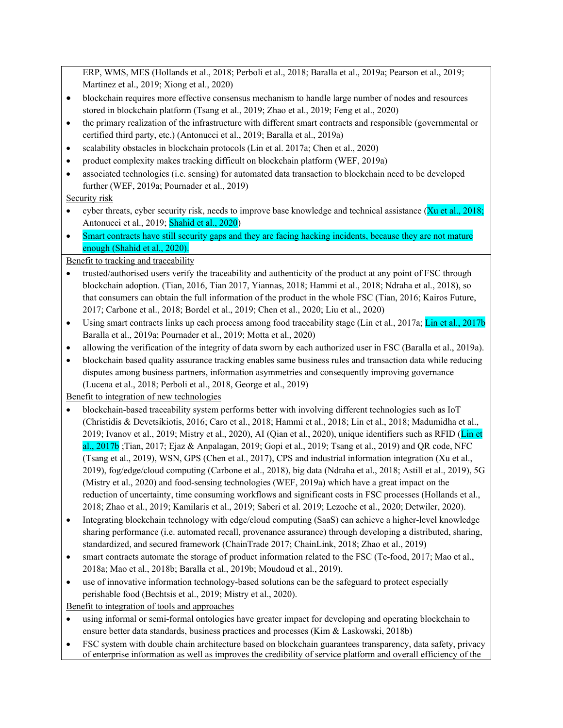ERP, WMS, MES (Hollands et al., 2018; Perboli et al., 2018; Baralla et al., 2019a; Pearson et al., 2019; Martinez et al., 2019; Xiong et al., 2020)

- blockchain requires more effective consensus mechanism to handle large number of nodes and resources stored in blockchain platform (Tsang et al., 2019; Zhao et al., 2019; Feng et al., 2020)
- the primary realization of the infrastructure with different smart contracts and responsible (governmental or certified third party, etc.) (Antonucci et al., 2019; Baralla et al., 2019a)
- scalability obstacles in blockchain protocols (Lin et al. 2017a; Chen et al., 2020)
- product complexity makes tracking difficult on blockchain platform (WEF, 2019a)
- associated technologies (i.e. sensing) for automated data transaction to blockchain need to be developed further (WEF, 2019a; Pournader et al., 2019)

#### Security risk

- cyber threats, cyber security risk, needs to improve base knowledge and technical assistance (Xu et al., 2018; Antonucci et al., 2019; Shahid et al., 2020)
- Smart contracts have still security gaps and they are facing hacking incidents, because they are not mature enough (Shahid et al., 2020).

### Benefit to tracking and traceability

- trusted/authorised users verify the traceability and authenticity of the product at any point of FSC through blockchain adoption. (Tian, 2016, Tian 2017, Yiannas, 2018; Hammi et al., 2018; Ndraha et al., 2018), so that consumers can obtain the full information of the product in the whole FSC (Tian, 2016; Kairos Future, 2017; Carbone et al., 2018; Bordel et al., 2019; Chen et al., 2020; Liu et al., 2020)
- Using smart contracts links up each process among food traceability stage (Lin et al., 2017a; Lin et al., 2017b Baralla et al., 2019a; Pournader et al., 2019; Motta et al., 2020)
- allowing the verification of the integrity of data sworn by each authorized user in FSC (Baralla et al., 2019a).
- blockchain based quality assurance tracking enables same business rules and transaction data while reducing disputes among business partners, information asymmetries and consequently improving governance (Lucena et al., 2018; Perboli et al., 2018, George et al., 2019)

Benefit to integration of new technologies

- blockchain-based traceability system performs better with involving different technologies such as IoT (Christidis & Devetsikiotis, 2016; Caro et al., 2018; Hammi et al., 2018; Lin et al., 2018; Madumidha et al., 2019; Ivanov et al., 2019; Mistry et al., 2020), AI (Qian et al., 2020), unique identifiers such as RFID (Lin et al., 2017b ;Tian, 2017; Ejaz & Anpalagan, 2019; Gopi et al., 2019; Tsang et al., 2019) and QR code, NFC (Tsang et al., 2019), WSN, GPS (Chen et al., 2017), CPS and industrial information integration (Xu et al., 2019), fog/edge/cloud computing (Carbone et al., 2018), big data (Ndraha et al., 2018; Astill et al., 2019), 5G (Mistry et al., 2020) and food-sensing technologies (WEF, 2019a) which have a great impact on the reduction of uncertainty, time consuming workflows and significant costs in FSC processes (Hollands et al., 2018; Zhao et al., 2019; Kamilaris et al., 2019; Saberi et al. 2019; Lezoche et al., 2020; Detwiler, 2020).
- Integrating blockchain technology with edge/cloud computing (SaaS) can achieve a higher-level knowledge sharing performance (i.e. automated recall, provenance assurance) through developing a distributed, sharing, standardized, and secured framework (ChainTrade 2017; ChainLink, 2018; Zhao et al., 2019)
- smart contracts automate the storage of product information related to the FSC (Te-food, 2017; Mao et al., 2018a; Mao et al., 2018b; Baralla et al., 2019b; Moudoud et al., 2019).
- use of innovative information technology-based solutions can be the safeguard to protect especially perishable food (Bechtsis et al., 2019; Mistry et al., 2020).
- Benefit to integration of tools and approaches
- using informal or semi-formal ontologies have greater impact for developing and operating blockchain to ensure better data standards, business practices and processes (Kim & Laskowski, 2018b)
- FSC system with double chain architecture based on blockchain guarantees transparency, data safety, privacy of enterprise information as well as improves the credibility of service platform and overall efficiency of the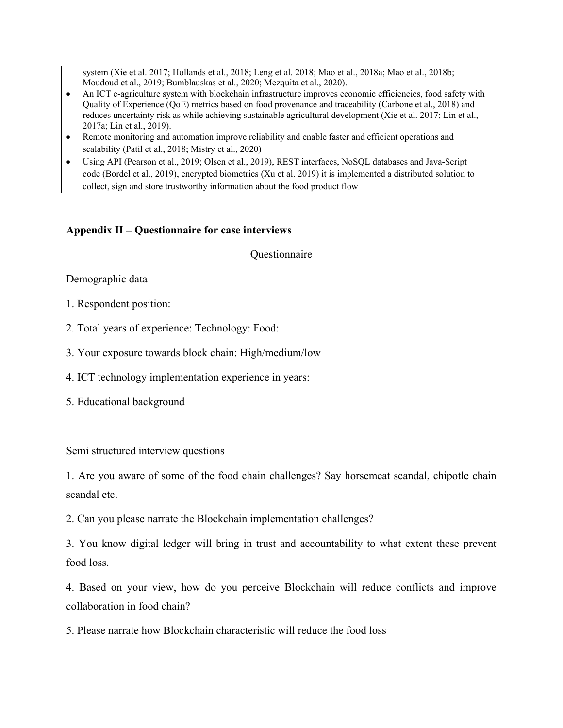system (Xie et al. 2017; Hollands et al., 2018; Leng et al. 2018; Mao et al., 2018a; Mao et al., 2018b; Moudoud et al., 2019; Bumblauskas et al., 2020; Mezquita et al., 2020).

- An ICT e-agriculture system with blockchain infrastructure improves economic efficiencies, food safety with Quality of Experience (QoE) metrics based on food provenance and traceability (Carbone et al., 2018) and reduces uncertainty risk as while achieving sustainable agricultural development (Xie et al. 2017; Lin et al., 2017a; Lin et al., 2019).
- Remote monitoring and automation improve reliability and enable faster and efficient operations and scalability (Patil et al., 2018; Mistry et al., 2020)
- Using API (Pearson et al., 2019; Olsen et al., 2019), REST interfaces, NoSQL databases and Java-Script code (Bordel et al., 2019), encrypted biometrics (Xu et al. 2019) it is implemented a distributed solution to collect, sign and store trustworthy information about the food product flow

### **Appendix II – Questionnaire for case interviews**

**Ouestionnaire** 

Demographic data

- 1. Respondent position:
- 2. Total years of experience: Technology: Food:
- 3. Your exposure towards block chain: High/medium/low
- 4. ICT technology implementation experience in years:
- 5. Educational background

Semi structured interview questions

1. Are you aware of some of the food chain challenges? Say horsemeat scandal, chipotle chain scandal etc.

2. Can you please narrate the Blockchain implementation challenges?

3. You know digital ledger will bring in trust and accountability to what extent these prevent food loss.

4. Based on your view, how do you perceive Blockchain will reduce conflicts and improve collaboration in food chain?

5. Please narrate how Blockchain characteristic will reduce the food loss